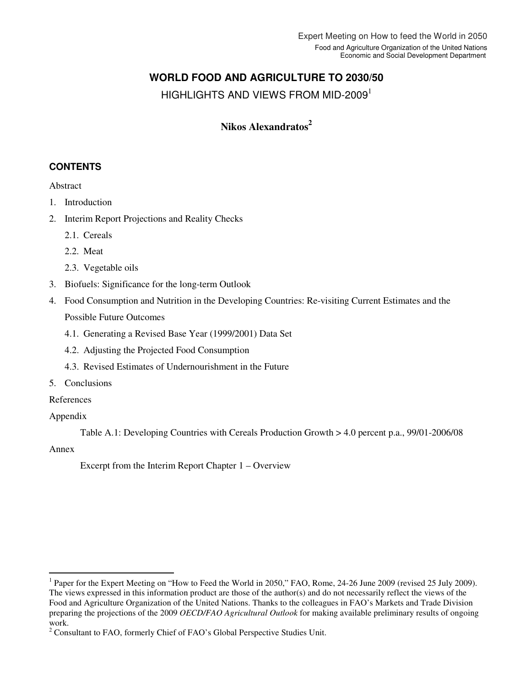# **WORLD FOOD AND AGRICULTURE TO 2030/50**

HIGHLIGHTS AND VIEWS FROM MID-2009<sup>1</sup>

# **Nikos Alexandratos<sup>2</sup>**

# **CONTENTS**

Abstract

- 1. Introduction
- 2. Interim Report Projections and Reality Checks
	- 2.1. Cereals
	- 2.2. Meat
	- 2.3. Vegetable oils
- 3. Biofuels: Significance for the long-term Outlook
- 4. Food Consumption and Nutrition in the Developing Countries: Re-visiting Current Estimates and the Possible Future Outcomes
	- 4.1. Generating a Revised Base Year (1999/2001) Data Set
	- 4.2. Adjusting the Projected Food Consumption
	- 4.3. Revised Estimates of Undernourishment in the Future
- 5. Conclusions

# References

## Appendix

Table A.1: Developing Countries with Cereals Production Growth > 4.0 percent p.a., 99/01-2006/08

## Annex

 $\overline{a}$ 

Excerpt from the Interim Report Chapter 1 – Overview

<sup>&</sup>lt;sup>1</sup> Paper for the Expert Meeting on "How to Feed the World in 2050," FAO, Rome, 24-26 June 2009 (revised 25 July 2009). The views expressed in this information product are those of the author(s) and do not necessarily reflect the views of the Food and Agriculture Organization of the United Nations. Thanks to the colleagues in FAO's Markets and Trade Division preparing the projections of the 2009 *OECD/FAO Agricultural Outlook* for making available preliminary results of ongoing work.

<sup>&</sup>lt;sup>2</sup> Consultant to FAO, formerly Chief of FAO's Global Perspective Studies Unit.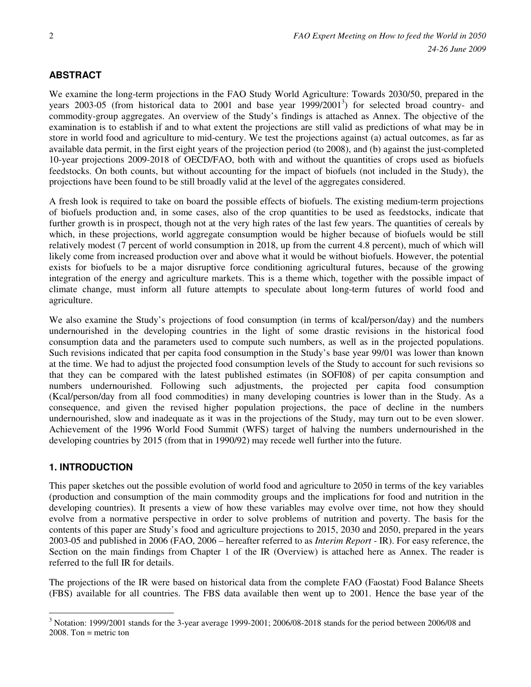## **ABSTRACT**

We examine the long-term projections in the FAO Study World Agriculture: Towards 2030/50, prepared in the years 2003-05 (from historical data to 2001 and base year 1999/2001<sup>3</sup>) for selected broad country- and commodity-group aggregates. An overview of the Study's findings is attached as Annex. The objective of the examination is to establish if and to what extent the projections are still valid as predictions of what may be in store in world food and agriculture to mid-century. We test the projections against (a) actual outcomes, as far as available data permit, in the first eight years of the projection period (to 2008), and (b) against the just-completed 10-year projections 2009-2018 of OECD/FAO, both with and without the quantities of crops used as biofuels feedstocks. On both counts, but without accounting for the impact of biofuels (not included in the Study), the projections have been found to be still broadly valid at the level of the aggregates considered.

A fresh look is required to take on board the possible effects of biofuels. The existing medium-term projections of biofuels production and, in some cases, also of the crop quantities to be used as feedstocks, indicate that further growth is in prospect, though not at the very high rates of the last few years. The quantities of cereals by which, in these projections, world aggregate consumption would be higher because of biofuels would be still relatively modest (7 percent of world consumption in 2018, up from the current 4.8 percent), much of which will likely come from increased production over and above what it would be without biofuels. However, the potential exists for biofuels to be a major disruptive force conditioning agricultural futures, because of the growing integration of the energy and agriculture markets. This is a theme which, together with the possible impact of climate change, must inform all future attempts to speculate about long-term futures of world food and agriculture.

We also examine the Study's projections of food consumption (in terms of kcal/person/day) and the numbers undernourished in the developing countries in the light of some drastic revisions in the historical food consumption data and the parameters used to compute such numbers, as well as in the projected populations. Such revisions indicated that per capita food consumption in the Study's base year 99/01 was lower than known at the time. We had to adjust the projected food consumption levels of the Study to account for such revisions so that they can be compared with the latest published estimates (in SOFI08) of per capita consumption and numbers undernourished. Following such adjustments, the projected per capita food consumption (Kcal/person/day from all food commodities) in many developing countries is lower than in the Study. As a consequence, and given the revised higher population projections, the pace of decline in the numbers undernourished, slow and inadequate as it was in the projections of the Study, may turn out to be even slower. Achievement of the 1996 World Food Summit (WFS) target of halving the numbers undernourished in the developing countries by 2015 (from that in 1990/92) may recede well further into the future.

## **1. INTRODUCTION**

 $\overline{a}$ 

This paper sketches out the possible evolution of world food and agriculture to 2050 in terms of the key variables (production and consumption of the main commodity groups and the implications for food and nutrition in the developing countries). It presents a view of how these variables may evolve over time, not how they should evolve from a normative perspective in order to solve problems of nutrition and poverty. The basis for the contents of this paper are Study's food and agriculture projections to 2015, 2030 and 2050, prepared in the years 2003-05 and published in 2006 (FAO, 2006 – hereafter referred to as *Interim Report* - IR). For easy reference, the Section on the main findings from Chapter 1 of the IR (Overview) is attached here as Annex. The reader is referred to the full IR for details.

The projections of the IR were based on historical data from the complete FAO (Faostat) Food Balance Sheets (FBS) available for all countries. The FBS data available then went up to 2001. Hence the base year of the

 $3$  Notation: 1999/2001 stands for the 3-year average 1999-2001; 2006/08-2018 stands for the period between 2006/08 and  $2008$ . Ton = metric ton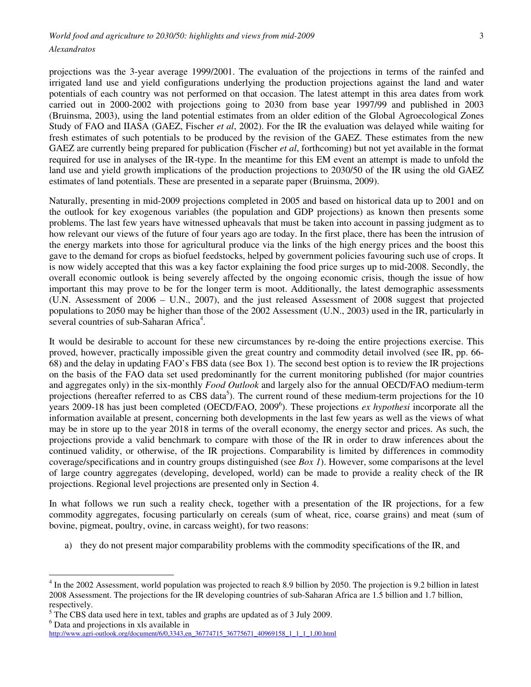projections was the 3-year average 1999/2001. The evaluation of the projections in terms of the rainfed and irrigated land use and yield configurations underlying the production projections against the land and water potentials of each country was not performed on that occasion. The latest attempt in this area dates from work carried out in 2000-2002 with projections going to 2030 from base year 1997/99 and published in 2003 (Bruinsma, 2003), using the land potential estimates from an older edition of the Global Agroecological Zones Study of FAO and IIASA (GAEZ, Fischer *et al*, 2002). For the IR the evaluation was delayed while waiting for fresh estimates of such potentials to be produced by the revision of the GAEZ. These estimates from the new GAEZ are currently being prepared for publication (Fischer *et al*, forthcoming) but not yet available in the format required for use in analyses of the IR-type. In the meantime for this EM event an attempt is made to unfold the land use and yield growth implications of the production projections to 2030/50 of the IR using the old GAEZ estimates of land potentials. These are presented in a separate paper (Bruinsma, 2009).

Naturally, presenting in mid-2009 projections completed in 2005 and based on historical data up to 2001 and on the outlook for key exogenous variables (the population and GDP projections) as known then presents some problems. The last few years have witnessed upheavals that must be taken into account in passing judgment as to how relevant our views of the future of four years ago are today. In the first place, there has been the intrusion of the energy markets into those for agricultural produce via the links of the high energy prices and the boost this gave to the demand for crops as biofuel feedstocks, helped by government policies favouring such use of crops. It is now widely accepted that this was a key factor explaining the food price surges up to mid-2008. Secondly, the overall economic outlook is being severely affected by the ongoing economic crisis, though the issue of how important this may prove to be for the longer term is moot. Additionally, the latest demographic assessments (U.N. Assessment of 2006 – U.N., 2007), and the just released Assessment of 2008 suggest that projected populations to 2050 may be higher than those of the 2002 Assessment (U.N., 2003) used in the IR, particularly in several countries of sub-Saharan Africa<sup>4</sup>.

It would be desirable to account for these new circumstances by re-doing the entire projections exercise. This proved, however, practically impossible given the great country and commodity detail involved (see IR, pp. 66- 68) and the delay in updating FAO's FBS data (see Box 1). The second best option is to review the IR projections on the basis of the FAO data set used predominantly for the current monitoring published (for major countries and aggregates only) in the six-monthly *Food Outlook* and largely also for the annual OECD/FAO medium-term projections (hereafter referred to as CBS data<sup>5</sup>). The current round of these medium-term projections for the 10 years 2009-18 has just been completed (OECD/FAO, 2009<sup>6</sup>). These projections *ex hypothesi* incorporate all the information available at present, concerning both developments in the last few years as well as the views of what may be in store up to the year 2018 in terms of the overall economy, the energy sector and prices. As such, the projections provide a valid benchmark to compare with those of the IR in order to draw inferences about the continued validity, or otherwise, of the IR projections. Comparability is limited by differences in commodity coverage/specifications and in country groups distinguished (see *Box 1*). However, some comparisons at the level of large country aggregates (developing, developed, world) can be made to provide a reality check of the IR projections. Regional level projections are presented only in Section 4.

In what follows we run such a reality check, together with a presentation of the IR projections, for a few commodity aggregates, focusing particularly on cereals (sum of wheat, rice, coarse grains) and meat (sum of bovine, pigmeat, poultry, ovine, in carcass weight), for two reasons:

a) they do not present major comparability problems with the commodity specifications of the IR, and

<sup>&</sup>lt;sup>4</sup> In the 2002 Assessment, world population was projected to reach 8.9 billion by 2050. The projection is 9.2 billion in latest 2008 Assessment. The projections for the IR developing countries of sub-Saharan Africa are 1.5 billion and 1.7 billion, respectively.

<sup>&</sup>lt;sup>5</sup> The CBS data used here in text, tables and graphs are updated as of 3 July 2009.

<sup>&</sup>lt;sup>6</sup> Data and projections in xls available in

http://www.agri-outlook.org/document/6/0,3343,en\_36774715\_36775671\_40969158\_1\_1\_1\_1,00.html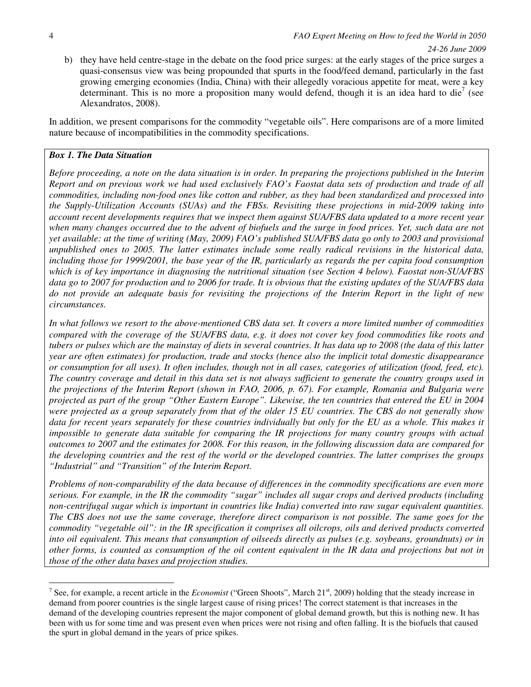b) they have held centre-stage in the debate on the food price surges: at the early stages of the price surges a quasi-consensus view was being propounded that spurts in the food/feed demand, particularly in the fast growing emerging economies (India, China) with their allegedly voracious appetite for meat, were a key determinant. This is no more a proposition many would defend, though it is an idea hard to die<sup>7</sup> (see Alexandratos, 2008).

In addition, we present comparisons for the commodity "vegetable oils". Here comparisons are of a more limited nature because of incompatibilities in the commodity specifications.

## *Box 1. The Data Situation*

*Before proceeding, a note on the data situation is in order. In preparing the projections published in the Interim Report and on previous work we had used exclusively FAO's Faostat data sets of production and trade of all commodities, including non-food ones like cotton and rubber, as they had been standardized and processed into the Supply-Utilization Accounts (SUAs) and the FBSs. Revisiting these projections in mid-2009 taking into account recent developments requires that we inspect them against SUA/FBS data updated to a more recent year when many changes occurred due to the advent of biofuels and the surge in food prices. Yet, such data are not yet available: at the time of writing (May, 2009) FAO's published SUA/FBS data go only to 2003 and provisional unpublished ones to 2005. The latter estimates include some really radical revisions in the historical data, including those for 1999/2001, the base year of the IR, particularly as regards the per capita food consumption which is of key importance in diagnosing the nutritional situation (see Section 4 below). Faostat non-SUA/FBS data go to 2007 for production and to 2006 for trade. It is obvious that the existing updates of the SUA/FBS data do not provide an adequate basis for revisiting the projections of the Interim Report in the light of new circumstances.* 

*In what follows we resort to the above-mentioned CBS data set. It covers a more limited number of commodities compared with the coverage of the SUA/FBS data, e.g. it does not cover key food commodities like roots and tubers or pulses which are the mainstay of diets in several countries. It has data up to 2008 (the data of this latter year are often estimates) for production, trade and stocks (hence also the implicit total domestic disappearance or consumption for all uses). It often includes, though not in all cases, categories of utilization (food, feed, etc). The country coverage and detail in this data set is not always sufficient to generate the country groups used in the projections of the Interim Report (shown in FAO, 2006, p. 67). For example, Romania and Bulgaria were projected as part of the group "Other Eastern Europe". Likewise, the ten countries that entered the EU in 2004 were projected as a group separately from that of the older 15 EU countries. The CBS do not generally show*  data for recent years separately for these countries individually but only for the EU as a whole. This makes it *impossible to generate data suitable for comparing the IR projections for many country groups with actual outcomes to 2007 and the estimates for 2008. For this reason, in the following discussion data are compared for the developing countries and the rest of the world or the developed countries. The latter comprises the groups "Industrial" and "Transition" of the Interim Report.* 

*Problems of non-comparability of the data because of differences in the commodity specifications are even more serious. For example, in the IR the commodity "sugar" includes all sugar crops and derived products (including non-centrifugal sugar which is important in countries like India) converted into raw sugar equivalent quantities. The CBS does not use the same coverage, therefore direct comparison is not possible. The same goes for the commodity "vegetable oil": in the IR specification it comprises all oilcrops, oils and derived products converted into oil equivalent. This means that consumption of oilseeds directly as pulses (e.g. soybeans, groundnuts) or in other forms, is counted as consumption of the oil content equivalent in the IR data and projections but not in those of the other data bases and projection studies.* 

<sup>&</sup>lt;sup>7</sup> See, for example, a recent article in the *Economist* ("Green Shoots", March  $21<sup>st</sup>$ , 2009) holding that the steady increase in demand from poorer countries is the single largest cause of rising prices! The correct statement is that increases in the demand of the developing countries represent the major component of global demand growth, but this is nothing new. It has been with us for some time and was present even when prices were not rising and often falling. It is the biofuels that caused the spurt in global demand in the years of price spikes.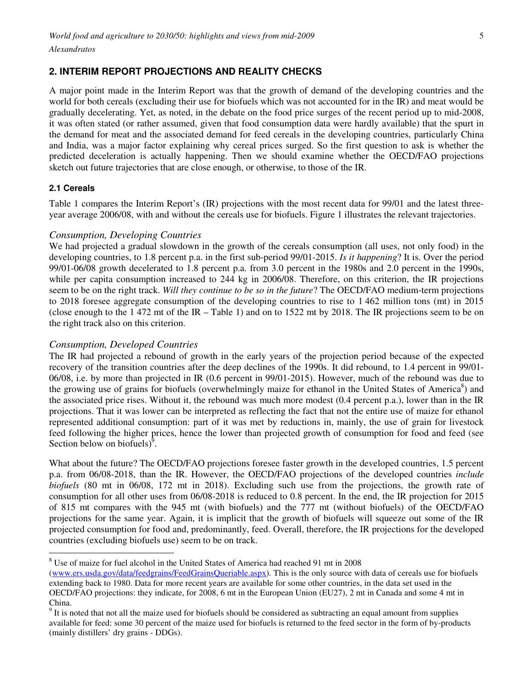# **2. INTERIM REPORT PROJECTIONS AND REALITY CHECKS**

A major point made in the Interim Report was that the growth of demand of the developing countries and the world for both cereals (excluding their use for biofuels which was not accounted for in the IR) and meat would be gradually decelerating. Yet, as noted, in the debate on the food price surges of the recent period up to mid-2008, it was often stated (or rather assumed, given that food consumption data were hardly available) that the spurt in the demand for meat and the associated demand for feed cereals in the developing countries, particularly China and India, was a major factor explaining why cereal prices surged. So the first question to ask is whether the predicted deceleration is actually happening. Then we should examine whether the OECD/FAO projections sketch out future trajectories that are close enough, or otherwise, to those of the IR.

### **2.1 Cereals**

 $\overline{a}$ 

Table 1 compares the Interim Report's (IR) projections with the most recent data for 99/01 and the latest threeyear average 2006/08, with and without the cereals use for biofuels. Figure 1 illustrates the relevant trajectories.

### *Consumption, Developing Countries*

We had projected a gradual slowdown in the growth of the cereals consumption (all uses, not only food) in the developing countries, to 1.8 percent p.a. in the first sub-period 99/01-2015. *Is it happening*? It is. Over the period 99/01-06/08 growth decelerated to 1.8 percent p.a. from 3.0 percent in the 1980s and 2.0 percent in the 1990s, while per capita consumption increased to 244 kg in 2006/08. Therefore, on this criterion, the IR projections seem to be on the right track. *Will they continue to be so in the future*? The OECD/FAO medium-term projections to 2018 foresee aggregate consumption of the developing countries to rise to 1 462 million tons (mt) in 2015 (close enough to the 1 472 mt of the IR – Table 1) and on to 1522 mt by 2018. The IR projections seem to be on the right track also on this criterion.

### *Consumption, Developed Countries*

The IR had projected a rebound of growth in the early years of the projection period because of the expected recovery of the transition countries after the deep declines of the 1990s. It did rebound, to 1.4 percent in 99/01- 06/08, i.e. by more than projected in IR (0.6 percent in 99/01-2015). However, much of the rebound was due to the growing use of grains for biofuels (overwhelmingly maize for ethanol in the United States of America<sup>8</sup>) and the associated price rises. Without it, the rebound was much more modest (0.4 percent p.a.), lower than in the IR projections. That it was lower can be interpreted as reflecting the fact that not the entire use of maize for ethanol represented additional consumption: part of it was met by reductions in, mainly, the use of grain for livestock feed following the higher prices, hence the lower than projected growth of consumption for food and feed (see Section below on biofuels) $\overline{9}$ .

What about the future? The OECD/FAO projections foresee faster growth in the developed countries, 1.5 percent p.a. from 06/08-2018, than the IR. However, the OECD/FAO projections of the developed countries *include biofuels* (80 mt in 06/08, 172 mt in 2018). Excluding such use from the projections, the growth rate of consumption for all other uses from 06/08-2018 is reduced to 0.8 percent. In the end, the IR projection for 2015 of 815 mt compares with the 945 mt (with biofuels) and the 777 mt (without biofuels) of the OECD/FAO projections for the same year. Again, it is implicit that the growth of biofuels will squeeze out some of the IR projected consumption for food and, predominantly, feed. Overall, therefore, the IR projections for the developed countries (excluding biofuels use) seem to be on track.

<sup>&</sup>lt;sup>8</sup> Use of maize for fuel alcohol in the United States of America had reached 91 mt in 2008

<sup>(</sup>www.ers.usda.gov/data/feedgrains/FeedGrainsQueriable.aspx). This is the only source with data of cereals use for biofuels extending back to 1980. Data for more recent years are available for some other countries, in the data set used in the OECD/FAO projections: they indicate, for 2008, 6 mt in the European Union (EU27), 2 mt in Canada and some 4 mt in China.

 $9<sup>9</sup>$  It is noted that not all the maize used for biofuels should be considered as subtracting an equal amount from supplies available for feed: some 30 percent of the maize used for biofuels is returned to the feed sector in the form of by-products (mainly distillers' dry grains - DDGs).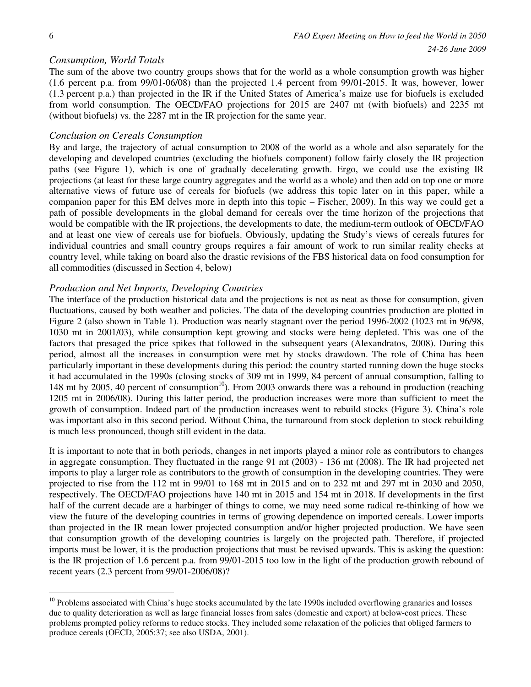$\overline{a}$ 

### *Consumption, World Totals*

The sum of the above two country groups shows that for the world as a whole consumption growth was higher (1.6 percent p.a. from 99/01-06/08) than the projected 1.4 percent from 99/01-2015. It was, however, lower (1.3 percent p.a.) than projected in the IR if the United States of America's maize use for biofuels is excluded from world consumption. The OECD/FAO projections for 2015 are 2407 mt (with biofuels) and 2235 mt (without biofuels) vs. the 2287 mt in the IR projection for the same year.

### *Conclusion on Cereals Consumption*

By and large, the trajectory of actual consumption to 2008 of the world as a whole and also separately for the developing and developed countries (excluding the biofuels component) follow fairly closely the IR projection paths (see Figure 1), which is one of gradually decelerating growth. Ergo, we could use the existing IR projections (at least for these large country aggregates and the world as a whole) and then add on top one or more alternative views of future use of cereals for biofuels (we address this topic later on in this paper, while a companion paper for this EM delves more in depth into this topic – Fischer, 2009). In this way we could get a path of possible developments in the global demand for cereals over the time horizon of the projections that would be compatible with the IR projections, the developments to date, the medium-term outlook of OECD/FAO and at least one view of cereals use for biofuels. Obviously, updating the Study's views of cereals futures for individual countries and small country groups requires a fair amount of work to run similar reality checks at country level, while taking on board also the drastic revisions of the FBS historical data on food consumption for all commodities (discussed in Section 4, below)

### *Production and Net Imports, Developing Countries*

The interface of the production historical data and the projections is not as neat as those for consumption, given fluctuations, caused by both weather and policies. The data of the developing countries production are plotted in Figure 2 (also shown in Table 1). Production was nearly stagnant over the period 1996-2002 (1023 mt in 96/98, 1030 mt in 2001/03), while consumption kept growing and stocks were being depleted. This was one of the factors that presaged the price spikes that followed in the subsequent years (Alexandratos, 2008). During this period, almost all the increases in consumption were met by stocks drawdown. The role of China has been particularly important in these developments during this period: the country started running down the huge stocks it had accumulated in the 1990s (closing stocks of 309 mt in 1999, 84 percent of annual consumption, falling to 148 mt by 2005, 40 percent of consumption<sup>10</sup>). From 2003 onwards there was a rebound in production (reaching 1205 mt in 2006/08). During this latter period, the production increases were more than sufficient to meet the growth of consumption. Indeed part of the production increases went to rebuild stocks (Figure 3). China's role was important also in this second period. Without China, the turnaround from stock depletion to stock rebuilding is much less pronounced, though still evident in the data.

It is important to note that in both periods, changes in net imports played a minor role as contributors to changes in aggregate consumption. They fluctuated in the range 91 mt (2003) - 136 mt (2008). The IR had projected net imports to play a larger role as contributors to the growth of consumption in the developing countries. They were projected to rise from the 112 mt in 99/01 to 168 mt in 2015 and on to 232 mt and 297 mt in 2030 and 2050, respectively. The OECD/FAO projections have 140 mt in 2015 and 154 mt in 2018. If developments in the first half of the current decade are a harbinger of things to come, we may need some radical re-thinking of how we view the future of the developing countries in terms of growing dependence on imported cereals. Lower imports than projected in the IR mean lower projected consumption and/or higher projected production. We have seen that consumption growth of the developing countries is largely on the projected path. Therefore, if projected imports must be lower, it is the production projections that must be revised upwards. This is asking the question: is the IR projection of 1.6 percent p.a. from 99/01-2015 too low in the light of the production growth rebound of recent years (2.3 percent from 99/01-2006/08)?

 $10$  Problems associated with China's huge stocks accumulated by the late 1990s included overflowing granaries and losses due to quality deterioration as well as large financial losses from sales (domestic and export) at below-cost prices. These problems prompted policy reforms to reduce stocks. They included some relaxation of the policies that obliged farmers to produce cereals (OECD, 2005:37; see also USDA, 2001).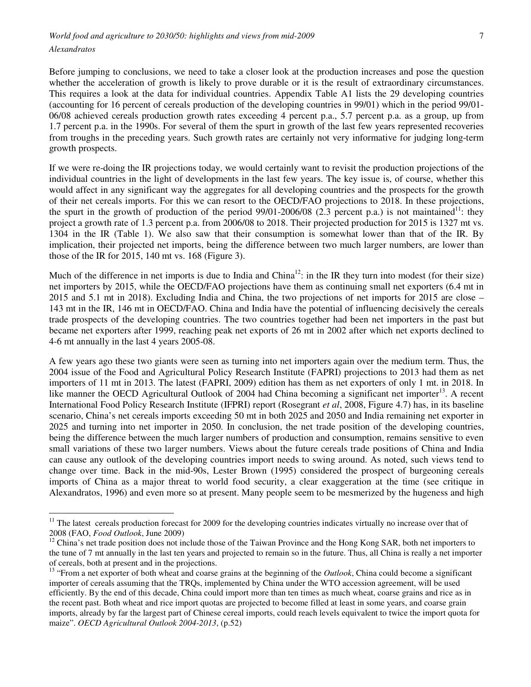*World food and agriculture to 2030/50: highlights and views from mid-2009 Alexandratos* 

Before jumping to conclusions, we need to take a closer look at the production increases and pose the question whether the acceleration of growth is likely to prove durable or it is the result of extraordinary circumstances. This requires a look at the data for individual countries. Appendix Table A1 lists the 29 developing countries (accounting for 16 percent of cereals production of the developing countries in 99/01) which in the period 99/01- 06/08 achieved cereals production growth rates exceeding 4 percent p.a., 5.7 percent p.a. as a group, up from 1.7 percent p.a. in the 1990s. For several of them the spurt in growth of the last few years represented recoveries from troughs in the preceding years. Such growth rates are certainly not very informative for judging long-term growth prospects.

If we were re-doing the IR projections today, we would certainly want to revisit the production projections of the individual countries in the light of developments in the last few years. The key issue is, of course, whether this would affect in any significant way the aggregates for all developing countries and the prospects for the growth of their net cereals imports. For this we can resort to the OECD/FAO projections to 2018. In these projections, the spurt in the growth of production of the period  $99/01-2006/08$  (2.3 percent p.a.) is not maintained<sup>11</sup>: they project a growth rate of 1.3 percent p.a. from 2006/08 to 2018. Their projected production for 2015 is 1327 mt vs. 1304 in the IR (Table 1). We also saw that their consumption is somewhat lower than that of the IR. By implication, their projected net imports, being the difference between two much larger numbers, are lower than those of the IR for 2015, 140 mt vs. 168 (Figure 3).

Much of the difference in net imports is due to India and China<sup>12</sup>: in the IR they turn into modest (for their size) net importers by 2015, while the OECD/FAO projections have them as continuing small net exporters (6.4 mt in 2015 and 5.1 mt in 2018). Excluding India and China, the two projections of net imports for 2015 are close – 143 mt in the IR, 146 mt in OECD/FAO. China and India have the potential of influencing decisively the cereals trade prospects of the developing countries. The two countries together had been net importers in the past but became net exporters after 1999, reaching peak net exports of 26 mt in 2002 after which net exports declined to 4-6 mt annually in the last 4 years 2005-08.

A few years ago these two giants were seen as turning into net importers again over the medium term. Thus, the 2004 issue of the Food and Agricultural Policy Research Institute (FAPRI) projections to 2013 had them as net importers of 11 mt in 2013. The latest (FAPRI, 2009) edition has them as net exporters of only 1 mt. in 2018. In like manner the OECD Agricultural Outlook of 2004 had China becoming a significant net importer<sup>13</sup>. A recent International Food Policy Research Institute (IFPRI) report (Rosegrant *et al*, 2008, Figure 4.7) has, in its baseline scenario, China's net cereals imports exceeding 50 mt in both 2025 and 2050 and India remaining net exporter in 2025 and turning into net importer in 2050. In conclusion, the net trade position of the developing countries, being the difference between the much larger numbers of production and consumption, remains sensitive to even small variations of these two larger numbers. Views about the future cereals trade positions of China and India can cause any outlook of the developing countries import needs to swing around. As noted, such views tend to change over time. Back in the mid-90s, Lester Brown (1995) considered the prospect of burgeoning cereals imports of China as a major threat to world food security, a clear exaggeration at the time (see critique in Alexandratos, 1996) and even more so at present. Many people seem to be mesmerized by the hugeness and high

<sup>&</sup>lt;sup>11</sup> The latest cereals production forecast for 2009 for the developing countries indicates virtually no increase over that of 2008 (FAO, *Food Outlook*, June 2009)

 $12$  China's net trade position does not include those of the Taiwan Province and the Hong Kong SAR, both net importers to the tune of 7 mt annually in the last ten years and projected to remain so in the future. Thus, all China is really a net importer of cereals, both at present and in the projections.

<sup>&</sup>lt;sup>13</sup> "From a net exporter of both wheat and coarse grains at the beginning of the *Outlook*, China could become a significant importer of cereals assuming that the TRQs, implemented by China under the WTO accession agreement, will be used efficiently. By the end of this decade, China could import more than ten times as much wheat, coarse grains and rice as in the recent past. Both wheat and rice import quotas are projected to become filled at least in some years, and coarse grain imports, already by far the largest part of Chinese cereal imports, could reach levels equivalent to twice the import quota for maize". *OECD Agricultural Outlook 2004-2013*, (p.52)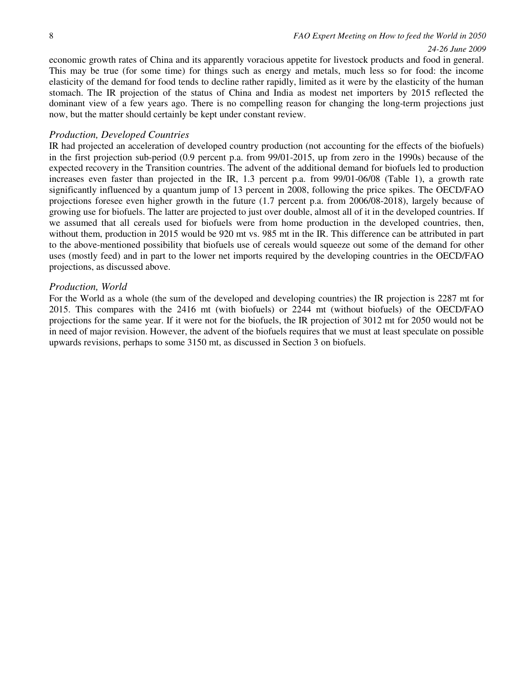*24-26 June 2009*

economic growth rates of China and its apparently voracious appetite for livestock products and food in general. This may be true (for some time) for things such as energy and metals, much less so for food: the income elasticity of the demand for food tends to decline rather rapidly, limited as it were by the elasticity of the human stomach. The IR projection of the status of China and India as modest net importers by 2015 reflected the dominant view of a few years ago. There is no compelling reason for changing the long-term projections just now, but the matter should certainly be kept under constant review.

#### *Production, Developed Countries*

IR had projected an acceleration of developed country production (not accounting for the effects of the biofuels) in the first projection sub-period (0.9 percent p.a. from 99/01-2015, up from zero in the 1990s) because of the expected recovery in the Transition countries. The advent of the additional demand for biofuels led to production increases even faster than projected in the IR, 1.3 percent p.a. from 99/01-06/08 (Table 1), a growth rate significantly influenced by a quantum jump of 13 percent in 2008, following the price spikes. The OECD/FAO projections foresee even higher growth in the future (1.7 percent p.a. from 2006/08-2018), largely because of growing use for biofuels. The latter are projected to just over double, almost all of it in the developed countries. If we assumed that all cereals used for biofuels were from home production in the developed countries, then, without them, production in 2015 would be 920 mt vs. 985 mt in the IR. This difference can be attributed in part to the above-mentioned possibility that biofuels use of cereals would squeeze out some of the demand for other uses (mostly feed) and in part to the lower net imports required by the developing countries in the OECD/FAO projections, as discussed above.

### *Production, World*

For the World as a whole (the sum of the developed and developing countries) the IR projection is 2287 mt for 2015. This compares with the 2416 mt (with biofuels) or 2244 mt (without biofuels) of the OECD/FAO projections for the same year. If it were not for the biofuels, the IR projection of 3012 mt for 2050 would not be in need of major revision. However, the advent of the biofuels requires that we must at least speculate on possible upwards revisions, perhaps to some 3150 mt, as discussed in Section 3 on biofuels.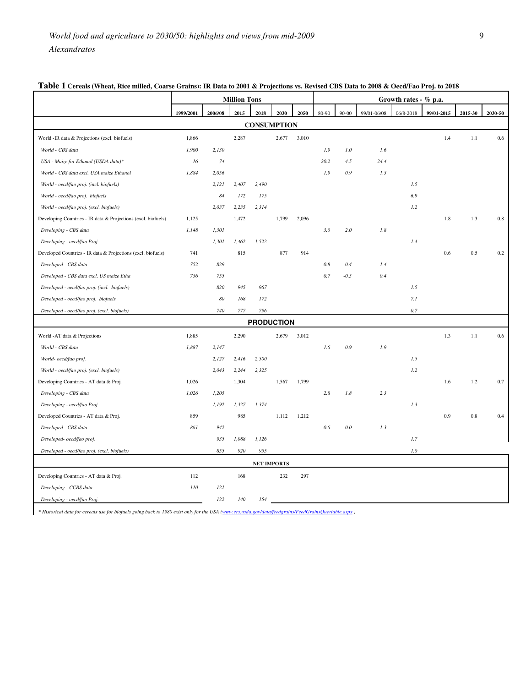|                                                               | <b>Million Tons</b> |         |       |                    | Growth rates - % p.a. |       |       |         |             |           |            |         |         |
|---------------------------------------------------------------|---------------------|---------|-------|--------------------|-----------------------|-------|-------|---------|-------------|-----------|------------|---------|---------|
|                                                               | 1999/2001           | 2006/08 | 2015  | 2018               | 2030                  | 2050  | 80-90 | 90-00   | 99/01-06/08 | 06/8-2018 | 99/01-2015 | 2015-30 | 2030-50 |
|                                                               |                     |         |       |                    | <b>CONSUMPTION</b>    |       |       |         |             |           |            |         |         |
| World -IR data & Projections (excl. biofuels)                 | 1,866               |         | 2,287 |                    | 2,677                 | 3,010 |       |         |             |           | 1.4        | 1.1     | 0.6     |
| World - CBS data                                              | 1,900               | 2,130   |       |                    |                       |       | 1.9   | 1.0     | 1.6         |           |            |         |         |
| USA - Maize for Ethanol (USDA data)*                          | 16                  | 74      |       |                    |                       |       | 20.2  | 4.5     | 24.4        |           |            |         |         |
| World - CBS data excl. USA maize Ethanol                      | 1,884               | 2,056   |       |                    |                       |       | 1.9   | 0.9     | 1.3         |           |            |         |         |
| World - oecd/fao proj. (incl. biofuels)                       |                     | 2, 121  | 2,407 | 2,490              |                       |       |       |         |             | 1.5       |            |         |         |
| World - oecd/fao proj. biofuels                               |                     | 84      | 172   | 175                |                       |       |       |         |             | 6.9       |            |         |         |
| World - oecd/fao proj. (excl. biofuels)                       |                     | 2,037   | 2,235 | 2,314              |                       |       |       |         |             | 1.2       |            |         |         |
| Developing Countries - IR data & Projections (excl. biofuels) | 1,125               |         | 1,472 |                    | 1,799                 | 2,096 |       |         |             |           | 1.8        | 1.3     | 0.8     |
| Developing - CBS data                                         | 1,148               | 1,301   |       |                    |                       |       | 3.0   | 2.0     | 1.8         |           |            |         |         |
| Developing - oecd/fao Proj.                                   |                     | 1,301   | 1,462 | 1,522              |                       |       |       |         |             | 1.4       |            |         |         |
| Developed Countries - IR data & Projections (excl. biofuels)  | 741                 |         | 815   |                    | 877                   | 914   |       |         |             |           | 0.6        | 0.5     | 0.2     |
| Developed - CBS data                                          | 752                 | 829     |       |                    |                       |       | 0.8   | $-0.4$  | 1.4         |           |            |         |         |
| Developed - CBS data excl. US maize Etha                      | 736                 | 755     |       |                    |                       |       | 0.7   | $-0.5$  | 0.4         |           |            |         |         |
| Developed - oecd/fao proj. (incl. biofuels)                   |                     | 820     | 945   | 967                |                       |       |       |         |             | 1.5       |            |         |         |
| Developed - oecd/fao proj. biofuels                           |                     | 80      | 168   | 172                |                       |       |       |         |             | 7.1       |            |         |         |
| Developed - oecd/fao proj. (excl. biofuels)                   |                     | 740     | 777   | 796                |                       |       |       |         |             | 0.7       |            |         |         |
|                                                               |                     |         |       |                    | <b>PRODUCTION</b>     |       |       |         |             |           |            |         |         |
| World -AT data & Projections                                  | 1,885               |         | 2,290 |                    | 2,679                 | 3,012 |       |         |             |           | 1.3        | 1.1     | 0.6     |
| World - CBS data                                              | 1,887               | 2,147   |       |                    |                       |       | 1.6   | 0.9     | 1.9         |           |            |         |         |
| World- oecd/fao proj.                                         |                     | 2,127   | 2,416 | 2,500              |                       |       |       |         |             | 1.5       |            |         |         |
| World - oecd/fao proj. (excl. biofuels)                       |                     | 2,043   | 2,244 | 2,325              |                       |       |       |         |             | 1.2       |            |         |         |
| Developing Countries - AT data & Proj.                        | 1,026               |         | 1,304 |                    | 1,567                 | 1,799 |       |         |             |           | 1.6        | 1.2     | 0.7     |
| Developing - CBS data                                         | 1,026               | 1,205   |       |                    |                       |       | 2.8   | 1.8     | 2.3         |           |            |         |         |
| Developing - oecd/fao Proj.                                   |                     | 1,192   | 1,327 | 1,374              |                       |       |       |         |             | 1.3       |            |         |         |
| Developed Countries - AT data & Proj.                         | 859                 |         | 985   |                    | 1,112                 | 1,212 |       |         |             |           | 0.9        | 0.8     | 0.4     |
| Developed - CBS data                                          | 861                 | 942     |       |                    |                       |       | 0.6   | $0.0\,$ | 1.3         |           |            |         |         |
| Developed- oecd/fao proj.                                     |                     | 935     | 1,088 | 1,126              |                       |       |       |         |             | 1.7       |            |         |         |
| Developed - oecd/fao proj. (excl. biofuels)                   |                     | 855     | 920   | 955                |                       |       |       |         |             | $1.0$     |            |         |         |
|                                                               |                     |         |       | <b>NET IMPORTS</b> |                       |       |       |         |             |           |            |         |         |
| Developing Countries - AT data & Proj.                        | 112                 |         | 168   |                    | 232                   | 297   |       |         |             |           |            |         |         |
| Developing - CCBS data                                        | 110                 | 121     |       |                    |                       |       |       |         |             |           |            |         |         |
| Developing - oecd/fao Proj.                                   |                     | 122     | 140   | 154                |                       |       |       |         |             |           |            |         |         |

## **Table 1 Cereals (Wheat, Rice milled, Coarse Grains): IR Data to 2001 & Projections vs. Revised CBS Data to 2008 & Oecd/Fao Proj. to 2018**

*\* Historical data for cereals use for biofuels going back to 1980 exist only for the USA (www.ers.usda.gov/data/feedgrains/FeedGrainsQueriable.aspx )*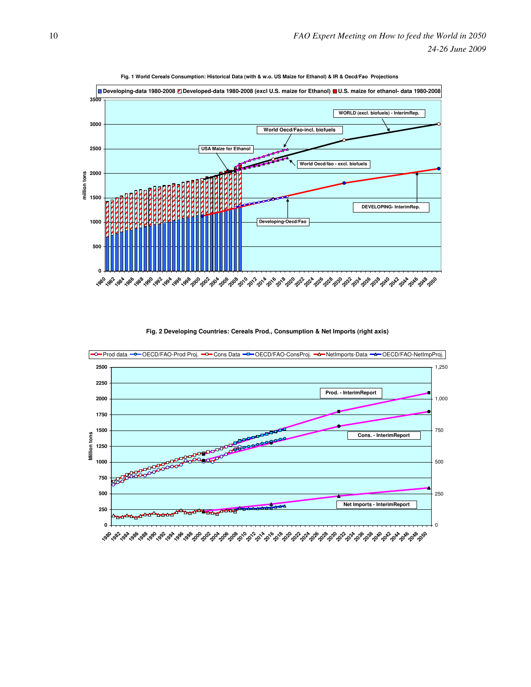

**Fig. 1 World Cereals Consumption: Historical Data (with & w.o. US Maize for Ethanol) & IR & Oecd/Fao Projections**

**Fig. 2 Developing Countries: Cereals Prod., Consumption & Net Imports (right axis)**

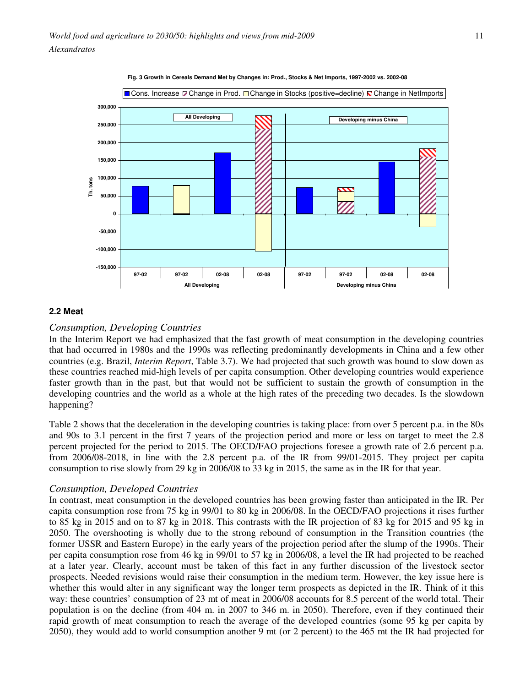

**Fig. 3 Growth in Cereals Demand Met by Changes in: Prod., Stocks & Net Imports, 1997-2002 vs. 2002-08**

### **2.2 Meat**

### *Consumption, Developing Countries*

In the Interim Report we had emphasized that the fast growth of meat consumption in the developing countries that had occurred in 1980s and the 1990s was reflecting predominantly developments in China and a few other countries (e.g. Brazil, *Interim Report*, Table 3.7). We had projected that such growth was bound to slow down as these countries reached mid-high levels of per capita consumption. Other developing countries would experience faster growth than in the past, but that would not be sufficient to sustain the growth of consumption in the developing countries and the world as a whole at the high rates of the preceding two decades. Is the slowdown happening?

Table 2 shows that the deceleration in the developing countries is taking place: from over 5 percent p.a. in the 80s and 90s to 3.1 percent in the first 7 years of the projection period and more or less on target to meet the 2.8 percent projected for the period to 2015. The OECD/FAO projections foresee a growth rate of 2.6 percent p.a. from 2006/08-2018, in line with the 2.8 percent p.a. of the IR from 99/01-2015. They project per capita consumption to rise slowly from 29 kg in 2006/08 to 33 kg in 2015, the same as in the IR for that year.

#### *Consumption, Developed Countries*

In contrast, meat consumption in the developed countries has been growing faster than anticipated in the IR. Per capita consumption rose from 75 kg in 99/01 to 80 kg in 2006/08. In the OECD/FAO projections it rises further to 85 kg in 2015 and on to 87 kg in 2018. This contrasts with the IR projection of 83 kg for 2015 and 95 kg in 2050. The overshooting is wholly due to the strong rebound of consumption in the Transition countries (the former USSR and Eastern Europe) in the early years of the projection period after the slump of the 1990s. Their per capita consumption rose from 46 kg in 99/01 to 57 kg in 2006/08, a level the IR had projected to be reached at a later year. Clearly, account must be taken of this fact in any further discussion of the livestock sector prospects. Needed revisions would raise their consumption in the medium term. However, the key issue here is whether this would alter in any significant way the longer term prospects as depicted in the IR. Think of it this way: these countries' consumption of 23 mt of meat in 2006/08 accounts for 8.5 percent of the world total. Their population is on the decline (from 404 m. in 2007 to 346 m. in 2050). Therefore, even if they continued their rapid growth of meat consumption to reach the average of the developed countries (some 95 kg per capita by 2050), they would add to world consumption another 9 mt (or 2 percent) to the 465 mt the IR had projected for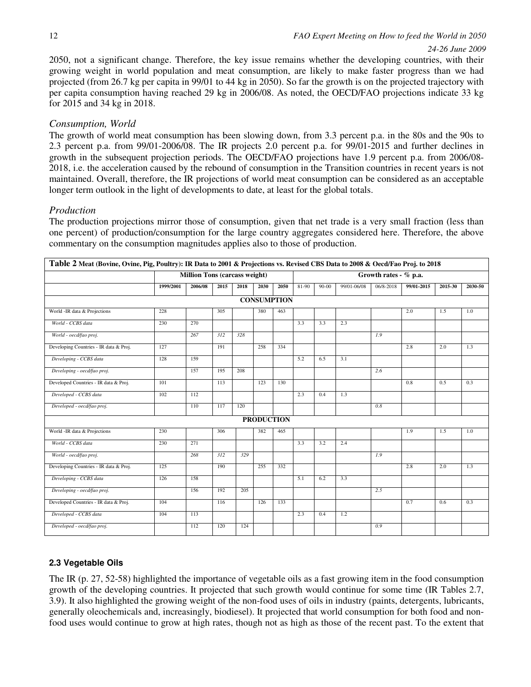### *24-26 June 2009*

2050, not a significant change. Therefore, the key issue remains whether the developing countries, with their growing weight in world population and meat consumption, are likely to make faster progress than we had projected (from 26.7 kg per capita in 99/01 to 44 kg in 2050). So far the growth is on the projected trajectory with per capita consumption having reached 29 kg in 2006/08. As noted, the OECD/FAO projections indicate 33 kg for 2015 and 34 kg in 2018.

# *Consumption, World*

The growth of world meat consumption has been slowing down, from 3.3 percent p.a. in the 80s and the 90s to 2.3 percent p.a. from 99/01-2006/08. The IR projects 2.0 percent p.a. for 99/01-2015 and further declines in growth in the subsequent projection periods. The OECD/FAO projections have 1.9 percent p.a. from 2006/08- 2018, i.e. the acceleration caused by the rebound of consumption in the Transition countries in recent years is not maintained. Overall, therefore, the IR projections of world meat consumption can be considered as an acceptable longer term outlook in the light of developments to date, at least for the global totals.

# *Production*

The production projections mirror those of consumption, given that net trade is a very small fraction (less than one percent) of production/consumption for the large country aggregates considered here. Therefore, the above commentary on the consumption magnitudes applies also to those of production.

| Table 2 Meat (Bovine, Ovine, Pig, Poultry): IR Data to 2001 & Projections vs. Revised CBS Data to 2008 & Oecd/Fao Proj. to 2018 |           |                                      |      |      |                   |                    |                       |           |             |           |            |         |         |  |
|---------------------------------------------------------------------------------------------------------------------------------|-----------|--------------------------------------|------|------|-------------------|--------------------|-----------------------|-----------|-------------|-----------|------------|---------|---------|--|
|                                                                                                                                 |           | <b>Million Tons (carcass weight)</b> |      |      |                   |                    | Growth rates - % p.a. |           |             |           |            |         |         |  |
|                                                                                                                                 | 1999/2001 | 2006/08                              | 2015 | 2018 | 2030              | 2050               | 81-90                 | $90 - 00$ | 99/01-06/08 | 06/8-2018 | 99/01-2015 | 2015-30 | 2030-50 |  |
|                                                                                                                                 |           |                                      |      |      |                   | <b>CONSUMPTION</b> |                       |           |             |           |            |         |         |  |
| World -IR data & Projections                                                                                                    | 228       |                                      | 305  |      | 380               | 463                |                       |           |             |           | 2.0        | 1.5     | 1.0     |  |
| World - CCBS data                                                                                                               | 230       | 270                                  |      |      |                   |                    | 3.3                   | 3.3       | 2.3         |           |            |         |         |  |
| World - oecd/fao proj.                                                                                                          |           | 267                                  | 312  | 328  |                   |                    |                       |           |             | 1.9       |            |         |         |  |
| Developing Countries - IR data & Proj.                                                                                          | 127       |                                      | 191  |      | 258               | 334                |                       |           |             |           | 2.8        | 2.0     | 1.3     |  |
| Developing - CCBS data                                                                                                          | 128       | 159                                  |      |      |                   |                    | 5.2                   | 6.5       | 3.1         |           |            |         |         |  |
| Developing - oecd/fao proj.                                                                                                     |           | 157                                  | 195  | 208  |                   |                    |                       |           |             | 2.6       |            |         |         |  |
| Developed Countries - IR data & Proj.                                                                                           | 101       |                                      | 113  |      | 123               | 130                |                       |           |             |           | 0.8        | 0.5     | 0.3     |  |
| Developed - CCBS data                                                                                                           | 102       | 112                                  |      |      |                   |                    | 2.3                   | 0.4       | 1.3         |           |            |         |         |  |
| Developed - oecd/fao proj.                                                                                                      |           | 110                                  | 117  | 120  |                   |                    |                       |           |             | 0.8       |            |         |         |  |
|                                                                                                                                 |           |                                      |      |      | <b>PRODUCTION</b> |                    |                       |           |             |           |            |         |         |  |
| World -IR data & Projections                                                                                                    | 230       |                                      | 306  |      | 382               | 465                |                       |           |             |           | 1.9        | 1.5     | 1.0     |  |
| World - CCBS data                                                                                                               | 230       | 271                                  |      |      |                   |                    | 3.3                   | 3.2       | 2.4         |           |            |         |         |  |
| World - oecd/fao proj.                                                                                                          |           | 268                                  | 312  | 329  |                   |                    |                       |           |             | 1.9       |            |         |         |  |
| Developing Countries - IR data & Proj.                                                                                          | 125       |                                      | 190  |      | 255               | 332                |                       |           |             |           | 2.8        | 2.0     | 1.3     |  |
| Developing - CCBS data                                                                                                          | 126       | 158                                  |      |      |                   |                    | 5.1                   | 6.2       | 3.3         |           |            |         |         |  |
| Developing - oecd/fao proj.                                                                                                     |           | 156                                  | 192  | 205  |                   |                    |                       |           |             | 2.5       |            |         |         |  |
| Developed Countries - IR data & Proj.                                                                                           | 104       |                                      | 116  |      | 126               | 133                |                       |           |             |           | 0.7        | 0.6     | 0.3     |  |
| Developed - CCBS data                                                                                                           | 104       | 113                                  |      |      |                   |                    | 2.3                   | 0.4       | 1.2         |           |            |         |         |  |
| Developed - oecd/fao proj.                                                                                                      |           | 112                                  | 120  | 124  |                   |                    |                       |           |             | 0.9       |            |         |         |  |

# **2.3 Vegetable Oils**

The IR (p. 27, 52-58) highlighted the importance of vegetable oils as a fast growing item in the food consumption growth of the developing countries. It projected that such growth would continue for some time (IR Tables 2.7, 3.9). It also highlighted the growing weight of the non-food uses of oils in industry (paints, detergents, lubricants, generally oleochemicals and, increasingly, biodiesel). It projected that world consumption for both food and nonfood uses would continue to grow at high rates, though not as high as those of the recent past. To the extent that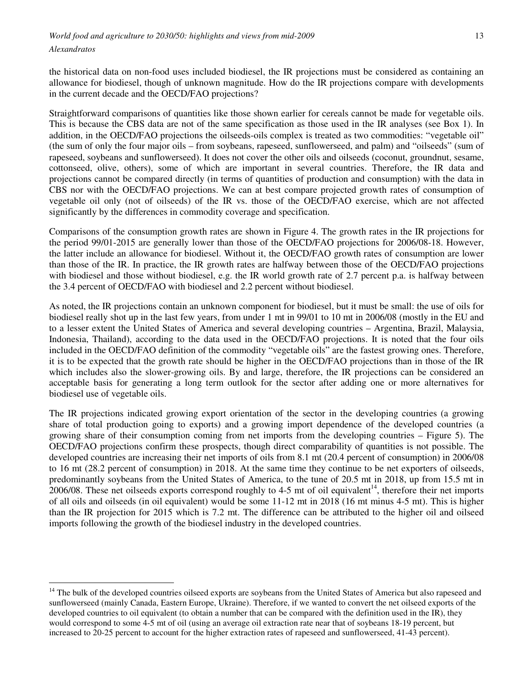the historical data on non-food uses included biodiesel, the IR projections must be considered as containing an allowance for biodiesel, though of unknown magnitude. How do the IR projections compare with developments in the current decade and the OECD/FAO projections?

Straightforward comparisons of quantities like those shown earlier for cereals cannot be made for vegetable oils. This is because the CBS data are not of the same specification as those used in the IR analyses (see Box 1). In addition, in the OECD/FAO projections the oilseeds-oils complex is treated as two commodities: "vegetable oil" (the sum of only the four major oils – from soybeans, rapeseed, sunflowerseed, and palm) and "oilseeds" (sum of rapeseed, soybeans and sunflowerseed). It does not cover the other oils and oilseeds (coconut, groundnut, sesame, cottonseed, olive, others), some of which are important in several countries. Therefore, the IR data and projections cannot be compared directly (in terms of quantities of production and consumption) with the data in CBS nor with the OECD/FAO projections. We can at best compare projected growth rates of consumption of vegetable oil only (not of oilseeds) of the IR vs. those of the OECD/FAO exercise, which are not affected significantly by the differences in commodity coverage and specification.

Comparisons of the consumption growth rates are shown in Figure 4. The growth rates in the IR projections for the period 99/01-2015 are generally lower than those of the OECD/FAO projections for 2006/08-18. However, the latter include an allowance for biodiesel. Without it, the OECD/FAO growth rates of consumption are lower than those of the IR. In practice, the IR growth rates are halfway between those of the OECD/FAO projections with biodiesel and those without biodiesel, e.g. the IR world growth rate of 2.7 percent p.a. is halfway between the 3.4 percent of OECD/FAO with biodiesel and 2.2 percent without biodiesel.

As noted, the IR projections contain an unknown component for biodiesel, but it must be small: the use of oils for biodiesel really shot up in the last few years, from under 1 mt in 99/01 to 10 mt in 2006/08 (mostly in the EU and to a lesser extent the United States of America and several developing countries – Argentina, Brazil, Malaysia, Indonesia, Thailand), according to the data used in the OECD/FAO projections. It is noted that the four oils included in the OECD/FAO definition of the commodity "vegetable oils" are the fastest growing ones. Therefore, it is to be expected that the growth rate should be higher in the OECD/FAO projections than in those of the IR which includes also the slower-growing oils. By and large, therefore, the IR projections can be considered an acceptable basis for generating a long term outlook for the sector after adding one or more alternatives for biodiesel use of vegetable oils.

The IR projections indicated growing export orientation of the sector in the developing countries (a growing share of total production going to exports) and a growing import dependence of the developed countries (a growing share of their consumption coming from net imports from the developing countries – Figure 5). The OECD/FAO projections confirm these prospects, though direct comparability of quantities is not possible. The developed countries are increasing their net imports of oils from 8.1 mt (20.4 percent of consumption) in 2006/08 to 16 mt (28.2 percent of consumption) in 2018. At the same time they continue to be net exporters of oilseeds, predominantly soybeans from the United States of America, to the tune of 20.5 mt in 2018, up from 15.5 mt in  $2006/08$ . These net oilseeds exports correspond roughly to 4-5 mt of oil equivalent<sup>14</sup>, therefore their net imports of all oils and oilseeds (in oil equivalent) would be some 11-12 mt in 2018 (16 mt minus 4-5 mt). This is higher than the IR projection for 2015 which is 7.2 mt. The difference can be attributed to the higher oil and oilseed imports following the growth of the biodiesel industry in the developed countries.

<sup>&</sup>lt;sup>14</sup> The bulk of the developed countries oilseed exports are soybeans from the United States of America but also rapeseed and sunflowerseed (mainly Canada, Eastern Europe, Ukraine). Therefore, if we wanted to convert the net oilseed exports of the developed countries to oil equivalent (to obtain a number that can be compared with the definition used in the IR), they would correspond to some 4-5 mt of oil (using an average oil extraction rate near that of soybeans 18-19 percent, but increased to 20-25 percent to account for the higher extraction rates of rapeseed and sunflowerseed, 41-43 percent).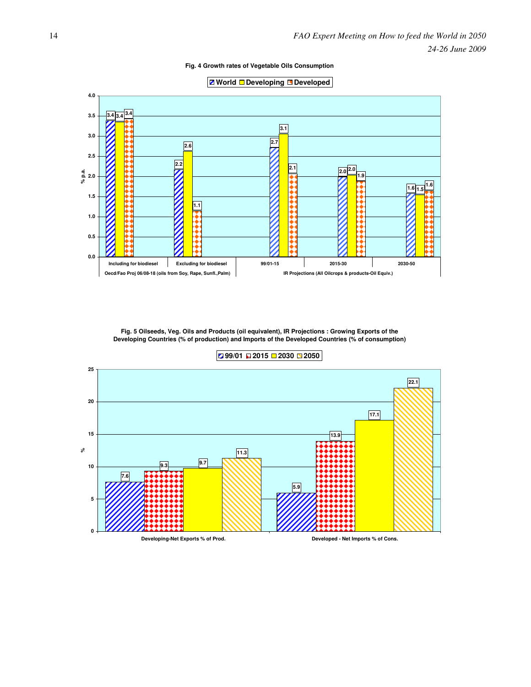**Fig. 4 Growth rates of Vegetable Oils Consumption**





**Fig. 5 Oilseeds, Veg. Oils and Products (oil equivalent), IR Projections : Growing Exports of the Developing Countries (% of production) and Imports of the Developed Countries (% of consumption)**



**99/01 2015 2030 2050**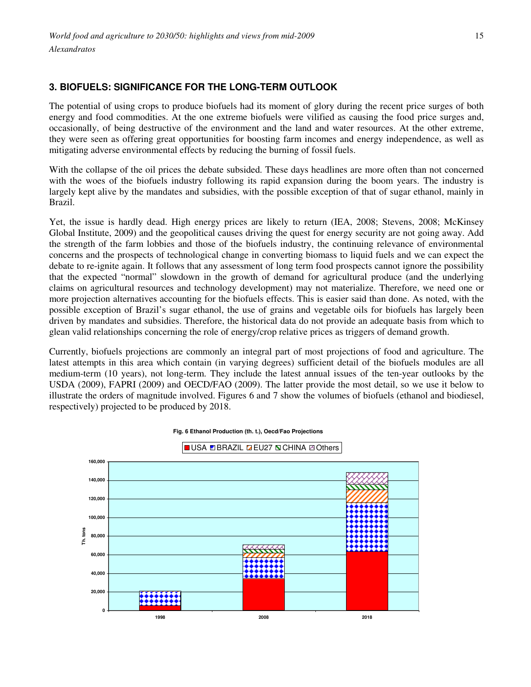# **3. BIOFUELS: SIGNIFICANCE FOR THE LONG-TERM OUTLOOK**

The potential of using crops to produce biofuels had its moment of glory during the recent price surges of both energy and food commodities. At the one extreme biofuels were vilified as causing the food price surges and, occasionally, of being destructive of the environment and the land and water resources. At the other extreme, they were seen as offering great opportunities for boosting farm incomes and energy independence, as well as mitigating adverse environmental effects by reducing the burning of fossil fuels.

With the collapse of the oil prices the debate subsided. These days headlines are more often than not concerned with the woes of the biofuels industry following its rapid expansion during the boom years. The industry is largely kept alive by the mandates and subsidies, with the possible exception of that of sugar ethanol, mainly in Brazil.

Yet, the issue is hardly dead. High energy prices are likely to return (IEA, 2008; Stevens, 2008; McKinsey Global Institute, 2009) and the geopolitical causes driving the quest for energy security are not going away. Add the strength of the farm lobbies and those of the biofuels industry, the continuing relevance of environmental concerns and the prospects of technological change in converting biomass to liquid fuels and we can expect the debate to re-ignite again. It follows that any assessment of long term food prospects cannot ignore the possibility that the expected "normal" slowdown in the growth of demand for agricultural produce (and the underlying claims on agricultural resources and technology development) may not materialize. Therefore, we need one or more projection alternatives accounting for the biofuels effects. This is easier said than done. As noted, with the possible exception of Brazil's sugar ethanol, the use of grains and vegetable oils for biofuels has largely been driven by mandates and subsidies. Therefore, the historical data do not provide an adequate basis from which to glean valid relationships concerning the role of energy/crop relative prices as triggers of demand growth.

Currently, biofuels projections are commonly an integral part of most projections of food and agriculture. The latest attempts in this area which contain (in varying degrees) sufficient detail of the biofuels modules are all medium-term (10 years), not long-term. They include the latest annual issues of the ten-year outlooks by the USDA (2009), FAPRI (2009) and OECD/FAO (2009). The latter provide the most detail, so we use it below to illustrate the orders of magnitude involved. Figures 6 and 7 show the volumes of biofuels (ethanol and biodiesel, respectively) projected to be produced by 2018.



**Fig. 6 Ethanol Production (th. t.), Oecd/Fao Projections**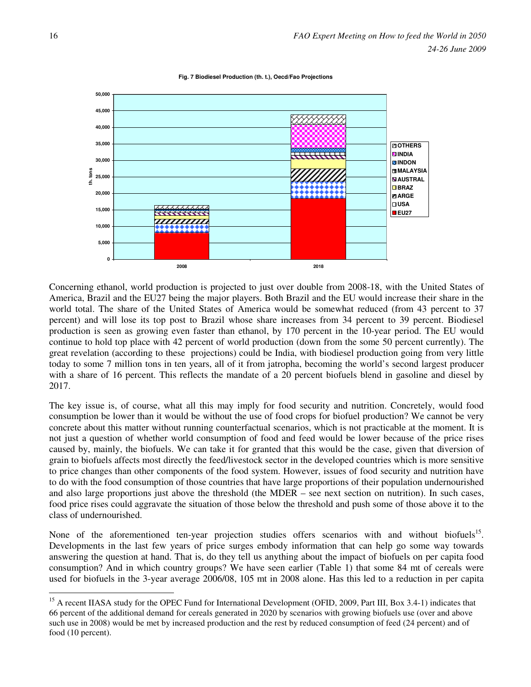

**Fig. 7 Biodiesel Production (th. t.), Oecd/Fao Projections**

Concerning ethanol, world production is projected to just over double from 2008-18, with the United States of America, Brazil and the EU27 being the major players. Both Brazil and the EU would increase their share in the world total. The share of the United States of America would be somewhat reduced (from 43 percent to 37 percent) and will lose its top post to Brazil whose share increases from 34 percent to 39 percent. Biodiesel production is seen as growing even faster than ethanol, by 170 percent in the 10-year period. The EU would continue to hold top place with 42 percent of world production (down from the some 50 percent currently). The great revelation (according to these projections) could be India, with biodiesel production going from very little today to some 7 million tons in ten years, all of it from jatropha, becoming the world's second largest producer with a share of 16 percent. This reflects the mandate of a 20 percent biofuels blend in gasoline and diesel by 2017.

The key issue is, of course, what all this may imply for food security and nutrition. Concretely, would food consumption be lower than it would be without the use of food crops for biofuel production? We cannot be very concrete about this matter without running counterfactual scenarios, which is not practicable at the moment. It is not just a question of whether world consumption of food and feed would be lower because of the price rises caused by, mainly, the biofuels. We can take it for granted that this would be the case, given that diversion of grain to biofuels affects most directly the feed/livestock sector in the developed countries which is more sensitive to price changes than other components of the food system. However, issues of food security and nutrition have to do with the food consumption of those countries that have large proportions of their population undernourished and also large proportions just above the threshold (the MDER – see next section on nutrition). In such cases, food price rises could aggravate the situation of those below the threshold and push some of those above it to the class of undernourished.

None of the aforementioned ten-year projection studies offers scenarios with and without biofuels<sup>15</sup>. Developments in the last few years of price surges embody information that can help go some way towards answering the question at hand. That is, do they tell us anything about the impact of biofuels on per capita food consumption? And in which country groups? We have seen earlier (Table 1) that some 84 mt of cereals were used for biofuels in the 3-year average 2006/08, 105 mt in 2008 alone. Has this led to a reduction in per capita

<sup>&</sup>lt;sup>15</sup> A recent IIASA study for the OPEC Fund for International Development (OFID, 2009, Part III, Box 3.4-1) indicates that 66 percent of the additional demand for cereals generated in 2020 by scenarios with growing biofuels use (over and above such use in 2008) would be met by increased production and the rest by reduced consumption of feed (24 percent) and of food (10 percent).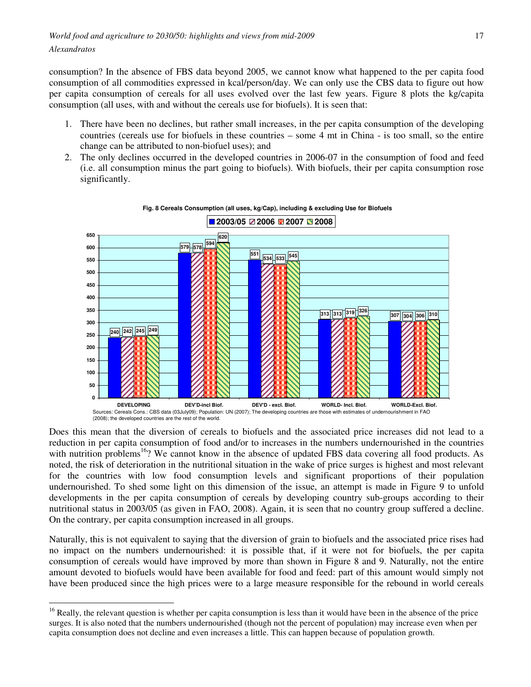consumption? In the absence of FBS data beyond 2005, we cannot know what happened to the per capita food consumption of all commodities expressed in kcal/person/day. We can only use the CBS data to figure out how per capita consumption of cereals for all uses evolved over the last few years. Figure 8 plots the kg/capita consumption (all uses, with and without the cereals use for biofuels). It is seen that:

- 1. There have been no declines, but rather small increases, in the per capita consumption of the developing countries (cereals use for biofuels in these countries – some 4 mt in China - is too small, so the entire change can be attributed to non-biofuel uses); and
- 2. The only declines occurred in the developed countries in 2006-07 in the consumption of food and feed (i.e. all consumption minus the part going to biofuels). With biofuels, their per capita consumption rose significantly.



**Fig. 8 Cereals Consumption (all uses, kg/Cap), including & excluding Use for Biofuels**

Does this mean that the diversion of cereals to biofuels and the associated price increases did not lead to a reduction in per capita consumption of food and/or to increases in the numbers undernourished in the countries with nutrition problems<sup>16</sup>? We cannot know in the absence of updated FBS data covering all food products. As noted, the risk of deterioration in the nutritional situation in the wake of price surges is highest and most relevant for the countries with low food consumption levels and significant proportions of their population undernourished. To shed some light on this dimension of the issue, an attempt is made in Figure 9 to unfold developments in the per capita consumption of cereals by developing country sub-groups according to their nutritional status in 2003/05 (as given in FAO, 2008). Again, it is seen that no country group suffered a decline. On the contrary, per capita consumption increased in all groups.

Naturally, this is not equivalent to saying that the diversion of grain to biofuels and the associated price rises had no impact on the numbers undernourished: it is possible that, if it were not for biofuels, the per capita consumption of cereals would have improved by more than shown in Figure 8 and 9. Naturally, not the entire amount devoted to biofuels would have been available for food and feed: part of this amount would simply not have been produced since the high prices were to a large measure responsible for the rebound in world cereals

<sup>&</sup>lt;sup>16</sup> Really, the relevant question is whether per capita consumption is less than it would have been in the absence of the price surges. It is also noted that the numbers undernourished (though not the percent of population) may increase even when per capita consumption does not decline and even increases a little. This can happen because of population growth.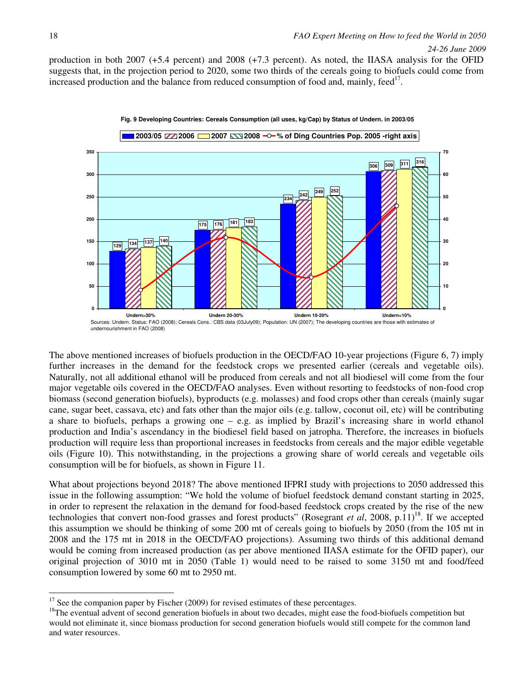production in both 2007 (+5.4 percent) and 2008 (+7.3 percent). As noted, the IIASA analysis for the OFID suggests that, in the projection period to 2020, some two thirds of the cereals going to biofuels could come from increased production and the balance from reduced consumption of food and, mainly, feed<sup>17</sup>.



The above mentioned increases of biofuels production in the OECD/FAO 10-year projections (Figure 6, 7) imply further increases in the demand for the feedstock crops we presented earlier (cereals and vegetable oils). Naturally, not all additional ethanol will be produced from cereals and not all biodiesel will come from the four major vegetable oils covered in the OECD/FAO analyses. Even without resorting to feedstocks of non-food crop biomass (second generation biofuels), byproducts (e.g. molasses) and food crops other than cereals (mainly sugar cane, sugar beet, cassava, etc) and fats other than the major oils (e.g. tallow, coconut oil, etc) will be contributing a share to biofuels, perhaps a growing one – e.g. as implied by Brazil's increasing share in world ethanol production and India's ascendancy in the biodiesel field based on jatropha. Therefore, the increases in biofuels production will require less than proportional increases in feedstocks from cereals and the major edible vegetable oils (Figure 10). This notwithstanding, in the projections a growing share of world cereals and vegetable oils consumption will be for biofuels, as shown in Figure 11.

What about projections beyond 2018? The above mentioned IFPRI study with projections to 2050 addressed this issue in the following assumption: "We hold the volume of biofuel feedstock demand constant starting in 2025, in order to represent the relaxation in the demand for food-based feedstock crops created by the rise of the new technologies that convert non-food grasses and forest products" (Rosegrant *et al.* 2008, p.11)<sup>18</sup>. If we accepted this assumption we should be thinking of some 200 mt of cereals going to biofuels by 2050 (from the 105 mt in 2008 and the 175 mt in 2018 in the OECD/FAO projections). Assuming two thirds of this additional demand would be coming from increased production (as per above mentioned IIASA estimate for the OFID paper), our original projection of 3010 mt in 2050 (Table 1) would need to be raised to some 3150 mt and food/feed consumption lowered by some 60 mt to 2950 mt.

 $17$  See the companion paper by Fischer (2009) for revised estimates of these percentages.

<sup>&</sup>lt;sup>18</sup>The eventual advent of second generation biofuels in about two decades, might ease the food-biofuels competition but would not eliminate it, since biomass production for second generation biofuels would still compete for the common land and water resources.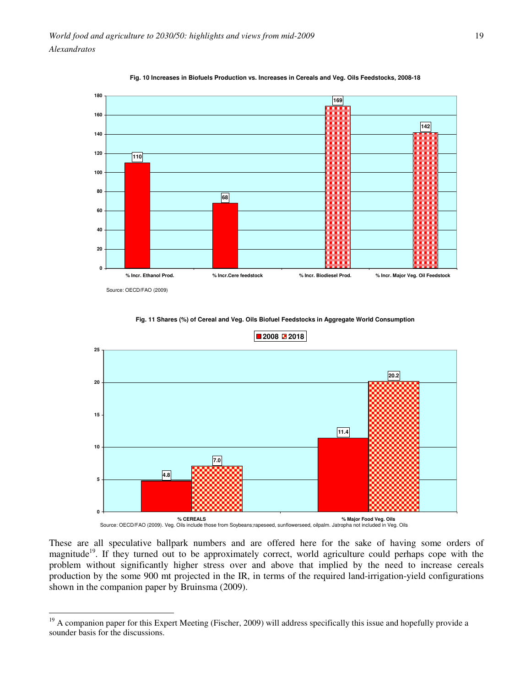



 $\overline{a}$ 

**Fig. 11 Shares (%) of Cereal and Veg. Oils Biofuel Feedstocks in Aggregate World Consumption**



These are all speculative ballpark numbers and are offered here for the sake of having some orders of magnitude<sup>19</sup>. If they turned out to be approximately correct, world agriculture could perhaps cope with the problem without significantly higher stress over and above that implied by the need to increase cereals production by the some 900 mt projected in the IR, in terms of the required land-irrigation-yield configurations shown in the companion paper by Bruinsma (2009).

 $19$  A companion paper for this Expert Meeting (Fischer, 2009) will address specifically this issue and hopefully provide a sounder basis for the discussions.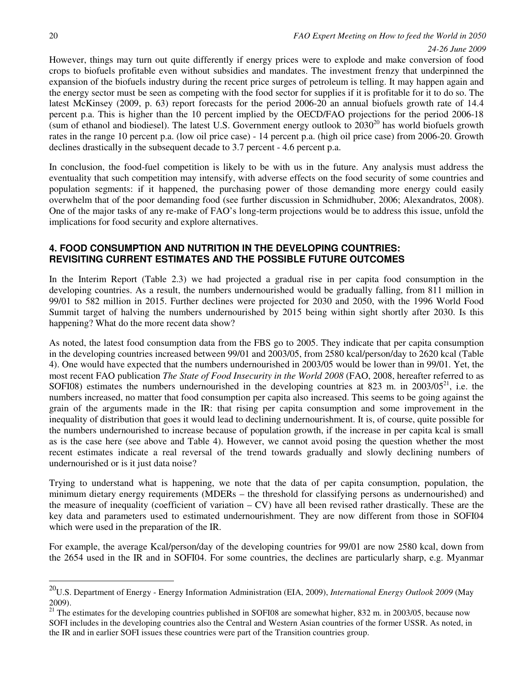$\overline{a}$ 

#### *24-26 June 2009*

However, things may turn out quite differently if energy prices were to explode and make conversion of food crops to biofuels profitable even without subsidies and mandates. The investment frenzy that underpinned the expansion of the biofuels industry during the recent price surges of petroleum is telling. It may happen again and the energy sector must be seen as competing with the food sector for supplies if it is profitable for it to do so. The latest McKinsey (2009, p. 63) report forecasts for the period 2006-20 an annual biofuels growth rate of 14.4 percent p.a. This is higher than the 10 percent implied by the OECD/FAO projections for the period 2006-18 (sum of ethanol and biodiesel). The latest U.S. Government energy outlook to  $2030^{20}$  has world biofuels growth rates in the range 10 percent p.a. (low oil price case) - 14 percent p.a. (high oil price case) from 2006-20. Growth declines drastically in the subsequent decade to 3.7 percent - 4.6 percent p.a.

In conclusion, the food-fuel competition is likely to be with us in the future. Any analysis must address the eventuality that such competition may intensify, with adverse effects on the food security of some countries and population segments: if it happened, the purchasing power of those demanding more energy could easily overwhelm that of the poor demanding food (see further discussion in Schmidhuber, 2006; Alexandratos, 2008). One of the major tasks of any re-make of FAO's long-term projections would be to address this issue, unfold the implications for food security and explore alternatives.

## **4. FOOD CONSUMPTION AND NUTRITION IN THE DEVELOPING COUNTRIES: REVISITING CURRENT ESTIMATES AND THE POSSIBLE FUTURE OUTCOMES**

In the Interim Report (Table 2.3) we had projected a gradual rise in per capita food consumption in the developing countries. As a result, the numbers undernourished would be gradually falling, from 811 million in 99/01 to 582 million in 2015. Further declines were projected for 2030 and 2050, with the 1996 World Food Summit target of halving the numbers undernourished by 2015 being within sight shortly after 2030. Is this happening? What do the more recent data show?

As noted, the latest food consumption data from the FBS go to 2005. They indicate that per capita consumption in the developing countries increased between 99/01 and 2003/05, from 2580 kcal/person/day to 2620 kcal (Table 4). One would have expected that the numbers undernourished in 2003/05 would be lower than in 99/01. Yet, the most recent FAO publication *The State of Food Insecurity in the World 2008* (FAO, 2008, hereafter referred to as SOFI08) estimates the numbers undernourished in the developing countries at 823 m. in  $2003/05^{21}$ , i.e. the numbers increased, no matter that food consumption per capita also increased. This seems to be going against the grain of the arguments made in the IR: that rising per capita consumption and some improvement in the inequality of distribution that goes it would lead to declining undernourishment. It is, of course, quite possible for the numbers undernourished to increase because of population growth, if the increase in per capita kcal is small as is the case here (see above and Table 4). However, we cannot avoid posing the question whether the most recent estimates indicate a real reversal of the trend towards gradually and slowly declining numbers of undernourished or is it just data noise?

Trying to understand what is happening, we note that the data of per capita consumption, population, the minimum dietary energy requirements (MDERs – the threshold for classifying persons as undernourished) and the measure of inequality (coefficient of variation  $-$  CV) have all been revised rather drastically. These are the key data and parameters used to estimated undernourishment. They are now different from those in SOFI04 which were used in the preparation of the IR.

For example, the average Kcal/person/day of the developing countries for 99/01 are now 2580 kcal, down from the 2654 used in the IR and in SOFI04. For some countries, the declines are particularly sharp, e.g. Myanmar

<sup>20</sup>U.S. Department of Energy - Energy Information Administration (EIA, 2009), *International Energy Outlook 2009* (May 2009).

 $21$ <sup>1</sup> The estimates for the developing countries published in SOFI08 are somewhat higher, 832 m. in 2003/05, because now SOFI includes in the developing countries also the Central and Western Asian countries of the former USSR. As noted, in the IR and in earlier SOFI issues these countries were part of the Transition countries group.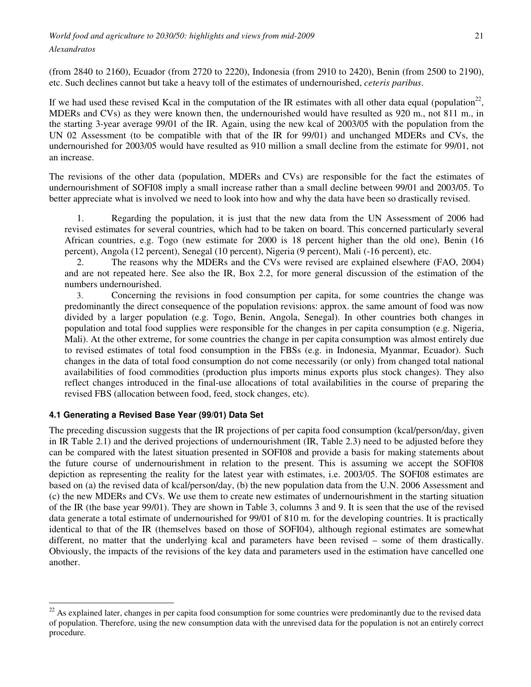*World food and agriculture to 2030/50: highlights and views from mid-2009* 

*Alexandratos* 

 $\overline{a}$ 

(from 2840 to 2160), Ecuador (from 2720 to 2220), Indonesia (from 2910 to 2420), Benin (from 2500 to 2190), etc. Such declines cannot but take a heavy toll of the estimates of undernourished, *ceteris paribus*.

If we had used these revised Kcal in the computation of the IR estimates with all other data equal (population<sup>22</sup>, MDERs and CVs) as they were known then, the undernourished would have resulted as 920 m., not 811 m., in the starting 3-year average 99/01 of the IR. Again, using the new kcal of 2003/05 with the population from the UN 02 Assessment (to be compatible with that of the IR for 99/01) and unchanged MDERs and CVs, the undernourished for 2003/05 would have resulted as 910 million a small decline from the estimate for 99/01, not an increase.

The revisions of the other data (population, MDERs and CVs) are responsible for the fact the estimates of undernourishment of SOFI08 imply a small increase rather than a small decline between 99/01 and 2003/05. To better appreciate what is involved we need to look into how and why the data have been so drastically revised.

1. Regarding the population, it is just that the new data from the UN Assessment of 2006 had revised estimates for several countries, which had to be taken on board. This concerned particularly several African countries, e.g. Togo (new estimate for 2000 is 18 percent higher than the old one), Benin (16 percent), Angola (12 percent), Senegal (10 percent), Nigeria (9 percent), Mali (-16 percent), etc.

2. The reasons why the MDERs and the CVs were revised are explained elsewhere (FAO, 2004) and are not repeated here. See also the IR, Box 2.2, for more general discussion of the estimation of the numbers undernourished.

3. Concerning the revisions in food consumption per capita, for some countries the change was predominantly the direct consequence of the population revisions: approx. the same amount of food was now divided by a larger population (e.g. Togo, Benin, Angola, Senegal). In other countries both changes in population and total food supplies were responsible for the changes in per capita consumption (e.g. Nigeria, Mali). At the other extreme, for some countries the change in per capita consumption was almost entirely due to revised estimates of total food consumption in the FBSs (e.g. in Indonesia, Myanmar, Ecuador). Such changes in the data of total food consumption do not come necessarily (or only) from changed total national availabilities of food commodities (production plus imports minus exports plus stock changes). They also reflect changes introduced in the final-use allocations of total availabilities in the course of preparing the revised FBS (allocation between food, feed, stock changes, etc).

## **4.1 Generating a Revised Base Year (99/01) Data Set**

The preceding discussion suggests that the IR projections of per capita food consumption (kcal/person/day, given in IR Table 2.1) and the derived projections of undernourishment (IR, Table 2.3) need to be adjusted before they can be compared with the latest situation presented in SOFI08 and provide a basis for making statements about the future course of undernourishment in relation to the present. This is assuming we accept the SOFI08 depiction as representing the reality for the latest year with estimates, i.e. 2003/05. The SOFI08 estimates are based on (a) the revised data of kcal/person/day, (b) the new population data from the U.N. 2006 Assessment and (c) the new MDERs and CVs. We use them to create new estimates of undernourishment in the starting situation of the IR (the base year 99/01). They are shown in Table 3, columns 3 and 9. It is seen that the use of the revised data generate a total estimate of undernourished for 99/01 of 810 m. for the developing countries. It is practically identical to that of the IR (themselves based on those of SOFI04), although regional estimates are somewhat different, no matter that the underlying kcal and parameters have been revised – some of them drastically. Obviously, the impacts of the revisions of the key data and parameters used in the estimation have cancelled one another.

 $22$  As explained later, changes in per capita food consumption for some countries were predominantly due to the revised data of population. Therefore, using the new consumption data with the unrevised data for the population is not an entirely correct procedure.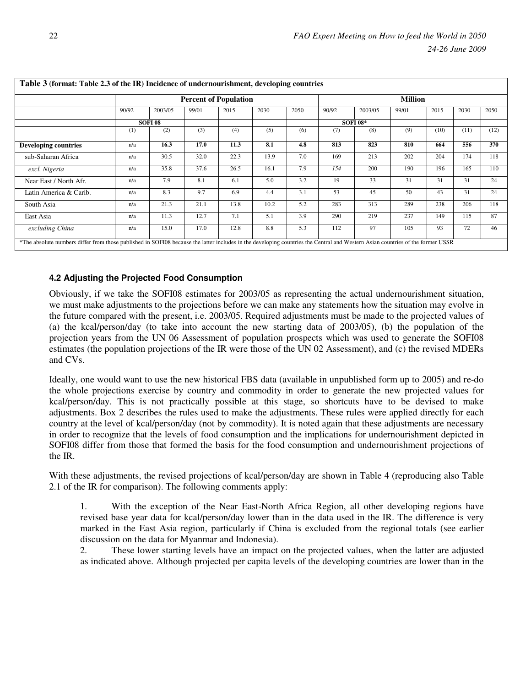|                             |       | <b>Percent of Population</b> |       |      |      |      |                | <b>Million</b> |       |      |      |      |  |  |
|-----------------------------|-------|------------------------------|-------|------|------|------|----------------|----------------|-------|------|------|------|--|--|
|                             | 90/92 | 2003/05                      | 99/01 | 2015 | 2030 | 2050 | 90/92          | 2003/05        | 99/01 | 2015 | 2030 | 2050 |  |  |
|                             |       | SOFI <sub>08</sub>           |       |      |      |      | <b>SOFI08*</b> |                |       |      |      |      |  |  |
|                             | (1)   | (2)                          | (3)   | (4)  | (5)  | (6)  | (7)            | (8)            | (9)   | (10) | (11) | (12) |  |  |
| <b>Developing countries</b> | n/a   | 16.3                         | 17.0  | 11.3 | 8.1  | 4.8  | 813            | 823            | 810   | 664  | 556  | 370  |  |  |
| sub-Saharan Africa          | n/a   | 30.5                         | 32.0  | 22.3 | 13.9 | 7.0  | 169            | 213            | 202   | 204  | 174  | 118  |  |  |
| excl. Nigeria               | n/a   | 35.8                         | 37.6  | 26.5 | 16.1 | 7.9  | 154            | 200            | 190   | 196  | 165  | 110  |  |  |
| Near East / North Afr.      | n/a   | 7.9                          | 8.1   | 6.1  | 5.0  | 3.2  | 19             | 33             | 31    | 31   | 31   | 24   |  |  |
| Latin America & Carib.      | n/a   | 8.3                          | 9.7   | 6.9  | 4.4  | 3.1  | 53             | 45             | 50    | 43   | 31   | 24   |  |  |
| South Asia                  | n/a   | 21.3                         | 21.1  | 13.8 | 10.2 | 5.2  | 283            | 313            | 289   | 238  | 206  | 118  |  |  |
| East Asia                   | n/a   | 11.3                         | 12.7  | 7.1  | 5.1  | 3.9  | 290            | 219            | 237   | 149  | 115  | 87   |  |  |
| excluding China             | n/a   | 15.0                         | 17.0  | 12.8 | 8.8  | 5.3  | 112            | 97             | 105   | 93   | 72   | 46   |  |  |

## **Table 3 (format: Table 2.3 of the IR) Incidence of undernourishment, developing countries**

### **4.2 Adjusting the Projected Food Consumption**

Obviously, if we take the SOFI08 estimates for 2003/05 as representing the actual undernourishment situation, we must make adjustments to the projections before we can make any statements how the situation may evolve in the future compared with the present, i.e. 2003/05. Required adjustments must be made to the projected values of (a) the kcal/person/day (to take into account the new starting data of 2003/05), (b) the population of the projection years from the UN 06 Assessment of population prospects which was used to generate the SOFI08 estimates (the population projections of the IR were those of the UN 02 Assessment), and (c) the revised MDERs and CVs.

Ideally, one would want to use the new historical FBS data (available in unpublished form up to 2005) and re-do the whole projections exercise by country and commodity in order to generate the new projected values for kcal/person/day. This is not practically possible at this stage, so shortcuts have to be devised to make adjustments. Box 2 describes the rules used to make the adjustments. These rules were applied directly for each country at the level of kcal/person/day (not by commodity). It is noted again that these adjustments are necessary in order to recognize that the levels of food consumption and the implications for undernourishment depicted in SOFI08 differ from those that formed the basis for the food consumption and undernourishment projections of the IR.

With these adjustments, the revised projections of kcal/person/day are shown in Table 4 (reproducing also Table 2.1 of the IR for comparison). The following comments apply:

1. With the exception of the Near East-North Africa Region, all other developing regions have revised base year data for kcal/person/day lower than in the data used in the IR. The difference is very marked in the East Asia region, particularly if China is excluded from the regional totals (see earlier discussion on the data for Myanmar and Indonesia).

2. These lower starting levels have an impact on the projected values, when the latter are adjusted as indicated above. Although projected per capita levels of the developing countries are lower than in the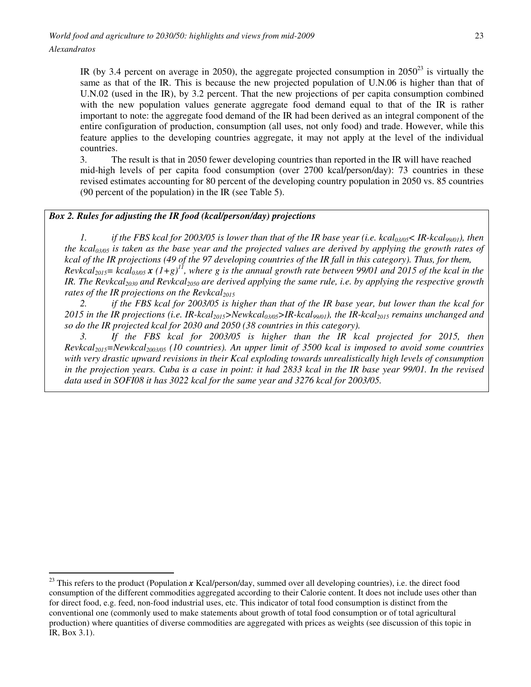IR (by 3.4 percent on average in 2050), the aggregate projected consumption in  $2050^{23}$  is virtually the same as that of the IR. This is because the new projected population of U.N.06 is higher than that of U.N.02 (used in the IR), by 3.2 percent. That the new projections of per capita consumption combined with the new population values generate aggregate food demand equal to that of the IR is rather important to note: the aggregate food demand of the IR had been derived as an integral component of the entire configuration of production, consumption (all uses, not only food) and trade. However, while this feature applies to the developing countries aggregate, it may not apply at the level of the individual countries.

3. The result is that in 2050 fewer developing countries than reported in the IR will have reached mid-high levels of per capita food consumption (over 2700 kcal/person/day): 73 countries in these revised estimates accounting for 80 percent of the developing country population in 2050 vs. 85 countries (90 percent of the population) in the IR (see Table 5).

## *Box 2. Rules for adjusting the IR food (kcal/person/day) projections*

*1. if the FBS kcal for 2003/05 is lower than that of the IR base year (i.e. kcal03/05< IR-kcal99/01), then the kcal03/05 is taken as the base year and the projected values are derived by applying the growth rates of kcal of the IR projections (49 of the 97 developing countries of the IR fall in this category). Thus, for them, Revkcal*<sub>2015</sub> = *kcal*<sup>03/05</sup> **x**  $(1+g)^{11}$ *, where g is the annual growth rate between 99/01 and 2015 of the kcal in the IR. The Revkcal2030 and Revkcal2050 are derived applying the same rule, i.e. by applying the respective growth rates of the IR projections on the Revkcal*<sup>2015</sup>

*2. if the FBS kcal for 2003/05 is higher than that of the IR base year, but lower than the kcal for 2015 in the IR projections (i.e. IR-kcal2015>Newkcal03/05>IR-kcal99/01), the IR-kcal2015 remains unchanged and so do the IR projected kcal for 2030 and 2050 (38 countries in this category).* 

*3. If the FBS kcal for 2003/05 is higher than the IR kcal projected for 2015, then Revkcal2015=Newkcal2003/05 (10 countries). An upper limit of 3500 kcal is imposed to avoid some countries with very drastic upward revisions in their Kcal exploding towards unrealistically high levels of consumption in the projection years. Cuba is a case in point: it had 2833 kcal in the IR base year 99/01. In the revised data used in SOFI08 it has 3022 kcal for the same year and 3276 kcal for 2003/05.* 

 $\overline{a}$  $^{23}$  This refers to the product (Population  $x$  Kcal/person/day, summed over all developing countries), i.e. the direct food consumption of the different commodities aggregated according to their Calorie content. It does not include uses other than for direct food, e.g. feed, non-food industrial uses, etc. This indicator of total food consumption is distinct from the conventional one (commonly used to make statements about growth of total food consumption or of total agricultural production) where quantities of diverse commodities are aggregated with prices as weights (see discussion of this topic in IR, Box 3.1).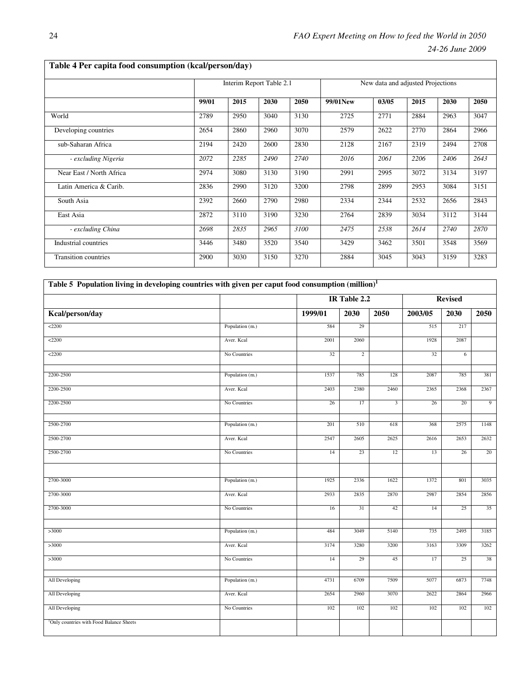|                             |       | Interim Report Table 2.1 |      |      | New data and adjusted Projections |       |      |      |      |  |  |
|-----------------------------|-------|--------------------------|------|------|-----------------------------------|-------|------|------|------|--|--|
|                             | 99/01 | 2015                     | 2030 | 2050 | 99/01New                          | 03/05 | 2015 | 2030 | 2050 |  |  |
| World                       | 2789  | 2950                     | 3040 | 3130 | 2725                              | 2771  | 2884 | 2963 | 3047 |  |  |
| Developing countries        | 2654  | 2860                     | 2960 | 3070 | 2579                              | 2622  | 2770 | 2864 | 2966 |  |  |
| sub-Saharan Africa          | 2194  | 2420                     | 2600 | 2830 | 2128                              | 2167  | 2319 | 2494 | 2708 |  |  |
| - excluding Nigeria         | 2072  | 2285                     | 2490 | 2740 | 2016                              | 2061  | 2206 | 2406 | 2643 |  |  |
| Near East / North Africa    | 2974  | 3080                     | 3130 | 3190 | 2991                              | 2995  | 3072 | 3134 | 3197 |  |  |
| Latin America & Carib.      | 2836  | 2990                     | 3120 | 3200 | 2798                              | 2899  | 2953 | 3084 | 3151 |  |  |
| South Asia                  | 2392  | 2660                     | 2790 | 2980 | 2334                              | 2344  | 2532 | 2656 | 2843 |  |  |
| East Asia                   | 2872  | 3110                     | 3190 | 3230 | 2764                              | 2839  | 3034 | 3112 | 3144 |  |  |
| - excluding China           | 2698  | 2835                     | 2965 | 3100 | 2475                              | 2538  | 2614 | 2740 | 2870 |  |  |
| Industrial countries        | 3446  | 3480                     | 3520 | 3540 | 3429                              | 3462  | 3501 | 3548 | 3569 |  |  |
| <b>Transition countries</b> | 2900  | 3030                     | 3150 | 3270 | 2884                              | 3045  | 3043 | 3159 | 3283 |  |  |

| Table 5 Population living in developing countries with given per caput food consumption (million) <sup>1</sup><br><b>Revised</b> |                 |         |                |                |         |      |                |  |  |  |  |  |
|----------------------------------------------------------------------------------------------------------------------------------|-----------------|---------|----------------|----------------|---------|------|----------------|--|--|--|--|--|
|                                                                                                                                  | IR Table 2.2    |         |                |                |         |      |                |  |  |  |  |  |
| Kcal/person/day                                                                                                                  |                 | 1999/01 | 2030           | 2050           | 2003/05 | 2030 | 2050           |  |  |  |  |  |
| $<$ 2200                                                                                                                         | Population (m.) | 584     | 29             |                | 515     | 217  |                |  |  |  |  |  |
| 2200                                                                                                                             | Aver. Kcal      | 2001    | 2060           |                | 1928    | 2087 |                |  |  |  |  |  |
| $<$ 2200                                                                                                                         | No Countries    | 32      | $\overline{c}$ |                | 32      | 6    |                |  |  |  |  |  |
| 2200-2500                                                                                                                        | Population (m.) | 1537    | 785            | 128            | 2087    | 785  | 381            |  |  |  |  |  |
| 2200-2500                                                                                                                        | Aver. Kcal      | 2403    | 2380           | 2460           | 2365    | 2368 | 2367           |  |  |  |  |  |
| 2200-2500                                                                                                                        | No Countries    | 26      | 17             | $\overline{3}$ | 26      | 20   | $\overline{9}$ |  |  |  |  |  |
| 2500-2700                                                                                                                        | Population (m.) | 201     | 510            | 618            | 368     | 2575 | 1148           |  |  |  |  |  |
| 2500-2700                                                                                                                        | Aver. Kcal      | 2547    | 2605           | 2625           | 2616    | 2653 | 2632           |  |  |  |  |  |
| 2500-2700                                                                                                                        | No Countries    | 14      | 23             | 12             | 13      | 26   | 20             |  |  |  |  |  |
| 2700-3000                                                                                                                        | Population (m.) | 1925    | 2336           | 1622           | 1372    | 801  | 3035           |  |  |  |  |  |
| 2700-3000                                                                                                                        | Aver. Kcal      | 2933    | 2835           | 2870           | 2987    | 2854 | 2856           |  |  |  |  |  |
| 2700-3000                                                                                                                        | No Countries    | 16      | 31             | 42             | 14      | 25   | 35             |  |  |  |  |  |
| >3000                                                                                                                            | Population (m.) | 484     | 3049           | 5140           | 735     | 2495 | 3185           |  |  |  |  |  |
| >3000                                                                                                                            | Aver. Kcal      | 3174    | 3280           | 3200           | 3163    | 3309 | 3262           |  |  |  |  |  |
| >3000                                                                                                                            | No Countries    | 14      | 29             | 45             | 17      | 25   | 38             |  |  |  |  |  |
| All Developing                                                                                                                   | Population (m.) | 4731    | 6709           | 7509           | 5077    | 6873 | 7748           |  |  |  |  |  |
| All Developing                                                                                                                   | Aver. Kcal      | 2654    | 2960           | 3070           | 2622    | 2864 | 2966           |  |  |  |  |  |
| All Developing                                                                                                                   | No Countries    | 102     | 102            | 102            | 102     | 102  | 102            |  |  |  |  |  |
| <sup>1</sup> Only countries with Food Balance Sheets                                                                             |                 |         |                |                |         |      |                |  |  |  |  |  |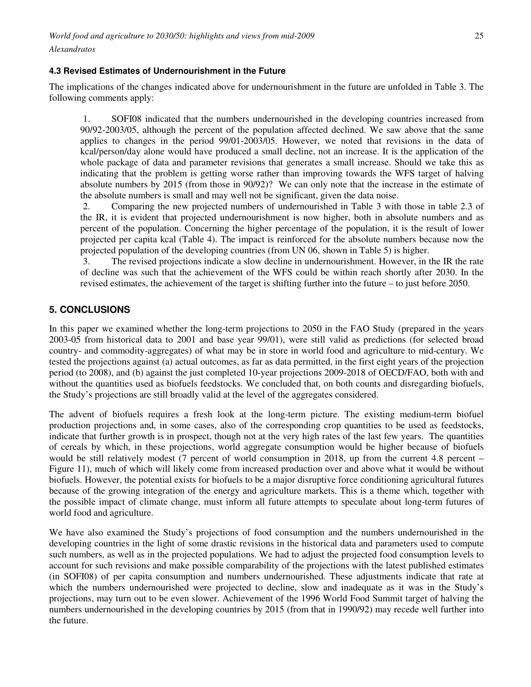### **4.3 Revised Estimates of Undernourishment in the Future**

The implications of the changes indicated above for undernourishment in the future are unfolded in Table 3. The following comments apply:

1. SOFI08 indicated that the numbers undernourished in the developing countries increased from 90/92-2003/05, although the percent of the population affected declined. We saw above that the same applies to changes in the period 99/01-2003/05. However, we noted that revisions in the data of kcal/person/day alone would have produced a small decline, not an increase. It is the application of the whole package of data and parameter revisions that generates a small increase. Should we take this as indicating that the problem is getting worse rather than improving towards the WFS target of halving absolute numbers by 2015 (from those in 90/92)? We can only note that the increase in the estimate of the absolute numbers is small and may well not be significant, given the data noise.

2. Comparing the new projected numbers of undernourished in Table 3 with those in table 2.3 of the IR, it is evident that projected undernourishment is now higher, both in absolute numbers and as percent of the population. Concerning the higher percentage of the population, it is the result of lower projected per capita kcal (Table 4). The impact is reinforced for the absolute numbers because now the projected population of the developing countries (from UN 06, shown in Table 5) is higher.

3. The revised projections indicate a slow decline in undernourishment. However, in the IR the rate of decline was such that the achievement of the WFS could be within reach shortly after 2030. In the revised estimates, the achievement of the target is shifting further into the future – to just before 2050.

## **5. CONCLUSIONS**

In this paper we examined whether the long-term projections to 2050 in the FAO Study (prepared in the years 2003-05 from historical data to 2001 and base year 99/01), were still valid as predictions (for selected broad country- and commodity-aggregates) of what may be in store in world food and agriculture to mid-century. We tested the projections against (a) actual outcomes, as far as data permitted, in the first eight years of the projection period (to 2008), and (b) against the just completed 10-year projections 2009-2018 of OECD/FAO, both with and without the quantities used as biofuels feedstocks. We concluded that, on both counts and disregarding biofuels, the Study's projections are still broadly valid at the level of the aggregates considered.

The advent of biofuels requires a fresh look at the long-term picture. The existing medium-term biofuel production projections and, in some cases, also of the corresponding crop quantities to be used as feedstocks, indicate that further growth is in prospect, though not at the very high rates of the last few years. The quantities of cereals by which, in these projections, world aggregate consumption would be higher because of biofuels would be still relatively modest (7 percent of world consumption in 2018, up from the current 4.8 percent – Figure 11), much of which will likely come from increased production over and above what it would be without biofuels. However, the potential exists for biofuels to be a major disruptive force conditioning agricultural futures because of the growing integration of the energy and agriculture markets. This is a theme which, together with the possible impact of climate change, must inform all future attempts to speculate about long-term futures of world food and agriculture.

We have also examined the Study's projections of food consumption and the numbers undernourished in the developing countries in the light of some drastic revisions in the historical data and parameters used to compute such numbers, as well as in the projected populations. We had to adjust the projected food consumption levels to account for such revisions and make possible comparability of the projections with the latest published estimates (in SOFI08) of per capita consumption and numbers undernourished. These adjustments indicate that rate at which the numbers undernourished were projected to decline, slow and inadequate as it was in the Study's projections, may turn out to be even slower. Achievement of the 1996 World Food Summit target of halving the numbers undernourished in the developing countries by 2015 (from that in 1990/92) may recede well further into the future.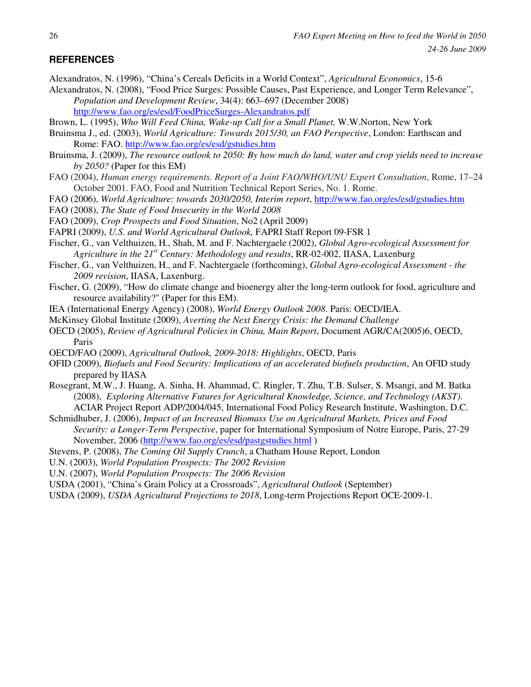# **REFERENCES**

Alexandratos, N. (1996), "China's Cereals Deficits in a World Context", *Agricultural Economics*, 15-6

- Alexandratos, N. (2008), "Food Price Surges: Possible Causes, Past Experience, and Longer Term Relevance", *Population and Development Review*, 34(4): 663–697 (December 2008) http://www.fao.org/es/esd/FoodPriceSurges-Alexandratos.pdf
- Brown, L. (1995), *Who Will Feed China, Wake-up Call for a Small Planet,* W.W.Norton, New York
- Bruinsma J., ed. (2003), *World Agriculture: Towards 2015/30, an FAO Perspective*, London: Earthscan and Rome: FAO. http://www.fao.org/es/esd/gstudies.htm
- Bruinsma, J. (2009), *The resource outlook to 2050: By how much do land, water and crop yields need to increase by 2050?* (Paper for this EM)
- FAO (2004), *Human energy requirements. Report of a Joint FAO/WHO/UNU Expert Consultation*, Rome, 17–24 October 2001. FAO, Food and Nutrition Technical Report Series, No. 1. Rome.
- FAO (2006), *World Agriculture: towards 2030/2050, Interim report*, http://www.fao.org/es/esd/gstudies.htm
- FAO (2008), *The State of Food Insecurity in the World 2008*
- FAO (2009), *Crop Prospects and Food Situation*, No2 (April 2009)
- FAPRI (2009), *U.S. and World Agricultural Outlook,* FAPRI Staff Report 09-FSR 1
- Fischer, G., van Velthuizen, H., Shah, M. and F. Nachtergaele (2002), *Global Agro-ecological Assessment for Agriculture in the 21st Century: Methodology and results*, RR-02-002, IIASA, Laxenburg
- Fischer, G., van Velthuizen, H., and F. Nachtergaele (forthcoming), *Global Agro-ecological Assessment the 2009 revision*, IIASA, Laxenburg.
- Fischer, G. (2009), "How do climate change and bioenergy alter the long-term outlook for food, agriculture and resource availability?" (Paper for this EM).
- IEA (International Energy Agency) (2008), *World Energy Outlook 2008*. Paris: OECD/IEA.
- McKinsey Global Institute (2009), *Averting the Next Energy Crisis: the Demand Challenge*
- OECD (2005), *Review of Agricultural Policies in China, Main Report*, Document AGR/CA(2005)6, OECD, Paris
- OECD/FAO (2009), *Agricultural Outlook, 2009-2018: Highlights*, OECD, Paris
- OFID (2009), *Biofuels and Food Security: Implications of an accelerated biofuels production*, An OFID study prepared by IIASA
- Rosegrant, M.W., J. Huang, A. Sinha, H. Ahammad, C. Ringler, T. Zhu, T.B. Sulser, S. Msangi, and M. Batka (2008), *Exploring Alternative Futures for Agricultural Knowledge, Science, and Technology (AKST)*. ACIAR Project Report ADP/2004/045, International Food Policy Research Institute, Washington, D.C.
- Schmidhuber, J. (2006), *Impact of an Increased Biomass Use on Agricultural Markets, Prices and Food Security: a Longer-Term Perspective*, paper for International Symposium of Notre Europe, Paris, 27-29 November, 2006 (http://www.fao.org/es/esd/pastgstudies.html )
- Stevens, P. (2008), *The Coming Oil Supply Crunch*, a Chatham House Report, London
- U.N. (2003), *World Population Prospects: The 2002 Revision*
- U.N. (2007), *World Population Prospects: The 2006 Revision*
- USDA (2001), "China's Grain Policy at a Crossroads", *Agricultural Outlook* (September)
- USDA (2009), *USDA Agricultural Projections to 2018*, Long-term Projections Report OCE-2009-1.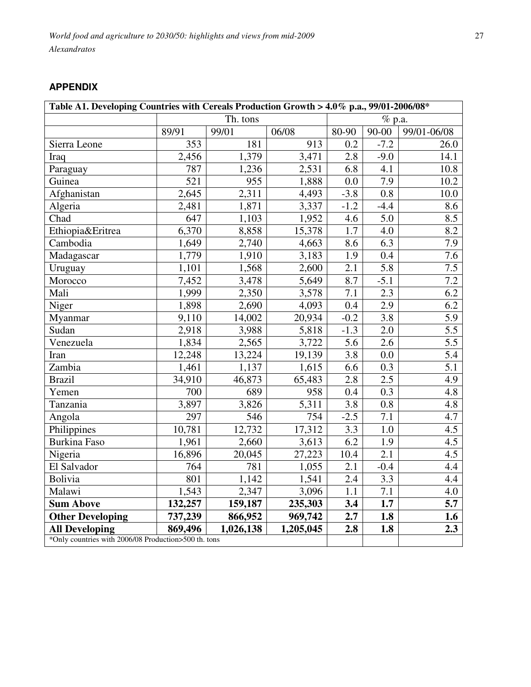# **APPENDIX**

| Table A1. Developing Countries with Cereals Production Growth > 4.0% p.a., 99/01-2006/08* |                  |           |           |        |                  |             |
|-------------------------------------------------------------------------------------------|------------------|-----------|-----------|--------|------------------|-------------|
|                                                                                           |                  | Th. tons  |           |        | $%$ p.a.         |             |
|                                                                                           | 89/91            | 99/01     | 06/08     | 80-90  | $90 - 00$        | 99/01-06/08 |
| Sierra Leone                                                                              | 353              | 181       | 913       | 0.2    | $-7.2$           | 26.0        |
| Iraq                                                                                      | 2,456            | 1,379     | 3,471     | 2.8    | $-9.0$           | 14.1        |
| Paraguay                                                                                  | 787              | 1,236     | 2,531     | 6.8    | 4.1              | 10.8        |
| Guinea                                                                                    | $\overline{521}$ | 955       | 1,888     | 0.0    | 7.9              | 10.2        |
| Afghanistan                                                                               | 2,645            | 2,311     | 4,493     | $-3.8$ | $\overline{0.8}$ | 10.0        |
| Algeria                                                                                   | 2,481            | 1,871     | 3,337     | $-1.2$ | $-4.4$           | 8.6         |
| Chad                                                                                      | 647              | 1,103     | 1,952     | 4.6    | 5.0              | 8.5         |
| Ethiopia&Eritrea                                                                          | 6,370            | 8,858     | 15,378    | 1.7    | 4.0              | 8.2         |
| Cambodia                                                                                  | 1,649            | 2,740     | 4,663     | 8.6    | 6.3              | 7.9         |
| Madagascar                                                                                | 1,779            | 1,910     | 3,183     | 1.9    | 0.4              | 7.6         |
| Uruguay                                                                                   | 1,101            | 1,568     | 2,600     | 2.1    | 5.8              | 7.5         |
| Morocco                                                                                   | 7,452            | 3,478     | 5,649     | 8.7    | $-5.1$           | 7.2         |
| Mali                                                                                      | 1,999            | 2,350     | 3,578     | 7.1    | 2.3              | 6.2         |
| Niger                                                                                     | 1,898            | 2,690     | 4,093     | 0.4    | 2.9              | 6.2         |
| Myanmar                                                                                   | 9,110            | 14,002    | 20,934    | $-0.2$ | 3.8              | 5.9         |
| Sudan                                                                                     | 2,918            | 3,988     | 5,818     | $-1.3$ | 2.0              | 5.5         |
| Venezuela                                                                                 | 1,834            | 2,565     | 3,722     | 5.6    | 2.6              | 5.5         |
| Iran                                                                                      | 12,248           | 13,224    | 19,139    | 3.8    | 0.0              | 5.4         |
| Zambia                                                                                    | 1,461            | 1,137     | 1,615     | 6.6    | 0.3              | 5.1         |
| <b>Brazil</b>                                                                             | 34,910           | 46,873    | 65,483    | 2.8    | 2.5              | 4.9         |
| Yemen                                                                                     | 700              | 689       | 958       | 0.4    | 0.3              | 4.8         |
| Tanzania                                                                                  | 3,897            | 3,826     | 5,311     | 3.8    | 0.8              | 4.8         |
| Angola                                                                                    | 297              | 546       | 754       | $-2.5$ | 7.1              | 4.7         |
| Philippines                                                                               | 10,781           | 12,732    | 17,312    | 3.3    | 1.0              | 4.5         |
| <b>Burkina Faso</b>                                                                       | 1,961            | 2,660     | 3,613     | 6.2    | 1.9              | 4.5         |
| Nigeria                                                                                   | 16,896           | 20,045    | 27,223    | 10.4   | 2.1              | 4.5         |
| El Salvador                                                                               | 764              | 781       | 1,055     | 2.1    | $-0.4$           | 4.4         |
| Bolivia                                                                                   | 801              | 1,142     | 1,541     | 2.4    | 3.3              | 4.4         |
| Malawi                                                                                    | 1,543            | 2,347     | 3,096     | 1.1    | 7.1              | 4.0         |
| <b>Sum Above</b>                                                                          | 132,257          | 159,187   | 235,303   | 3.4    | 1.7              | 5.7         |
| <b>Other Developing</b>                                                                   | 737,239          | 866,952   | 969,742   | 2.7    | 1.8              | 1.6         |
| <b>All Developing</b>                                                                     | 869,496          | 1,026,138 | 1,205,045 | 2.8    | 1.8              | 2.3         |
| *Only countries with 2006/08 Production>500 th. tons                                      |                  |           |           |        |                  |             |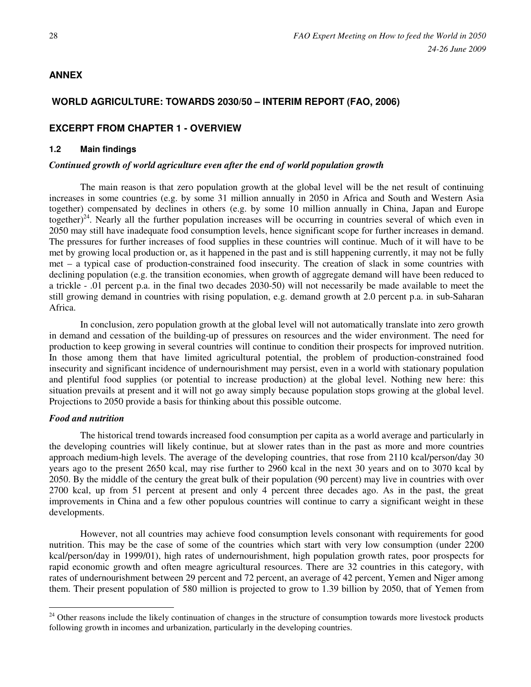## **ANNEX**

## **WORLD AGRICULTURE: TOWARDS 2030/50 – INTERIM REPORT (FAO, 2006)**

## **EXCERPT FROM CHAPTER 1 - OVERVIEW**

#### **1.2 Main findings**

#### *Continued growth of world agriculture even after the end of world population growth*

The main reason is that zero population growth at the global level will be the net result of continuing increases in some countries (e.g. by some 31 million annually in 2050 in Africa and South and Western Asia together) compensated by declines in others (e.g. by some 10 million annually in China, Japan and Europe together)<sup>24</sup>. Nearly all the further population increases will be occurring in countries several of which even in 2050 may still have inadequate food consumption levels, hence significant scope for further increases in demand. The pressures for further increases of food supplies in these countries will continue. Much of it will have to be met by growing local production or, as it happened in the past and is still happening currently, it may not be fully met – a typical case of production-constrained food insecurity. The creation of slack in some countries with declining population (e.g. the transition economies, when growth of aggregate demand will have been reduced to a trickle - .01 percent p.a. in the final two decades 2030-50) will not necessarily be made available to meet the still growing demand in countries with rising population, e.g. demand growth at 2.0 percent p.a. in sub-Saharan Africa.

In conclusion, zero population growth at the global level will not automatically translate into zero growth in demand and cessation of the building-up of pressures on resources and the wider environment. The need for production to keep growing in several countries will continue to condition their prospects for improved nutrition. In those among them that have limited agricultural potential, the problem of production-constrained food insecurity and significant incidence of undernourishment may persist, even in a world with stationary population and plentiful food supplies (or potential to increase production) at the global level. Nothing new here: this situation prevails at present and it will not go away simply because population stops growing at the global level. Projections to 2050 provide a basis for thinking about this possible outcome.

#### *Food and nutrition*

 $\overline{a}$ 

The historical trend towards increased food consumption per capita as a world average and particularly in the developing countries will likely continue, but at slower rates than in the past as more and more countries approach medium-high levels. The average of the developing countries, that rose from 2110 kcal/person/day 30 years ago to the present 2650 kcal, may rise further to 2960 kcal in the next 30 years and on to 3070 kcal by 2050. By the middle of the century the great bulk of their population (90 percent) may live in countries with over 2700 kcal, up from 51 percent at present and only 4 percent three decades ago. As in the past, the great improvements in China and a few other populous countries will continue to carry a significant weight in these developments.

However, not all countries may achieve food consumption levels consonant with requirements for good nutrition. This may be the case of some of the countries which start with very low consumption (under 2200 kcal/person/day in 1999/01), high rates of undernourishment, high population growth rates, poor prospects for rapid economic growth and often meagre agricultural resources. There are 32 countries in this category, with rates of undernourishment between 29 percent and 72 percent, an average of 42 percent, Yemen and Niger among them. Their present population of 580 million is projected to grow to 1.39 billion by 2050, that of Yemen from

<sup>&</sup>lt;sup>24</sup> Other reasons include the likely continuation of changes in the structure of consumption towards more livestock products following growth in incomes and urbanization, particularly in the developing countries.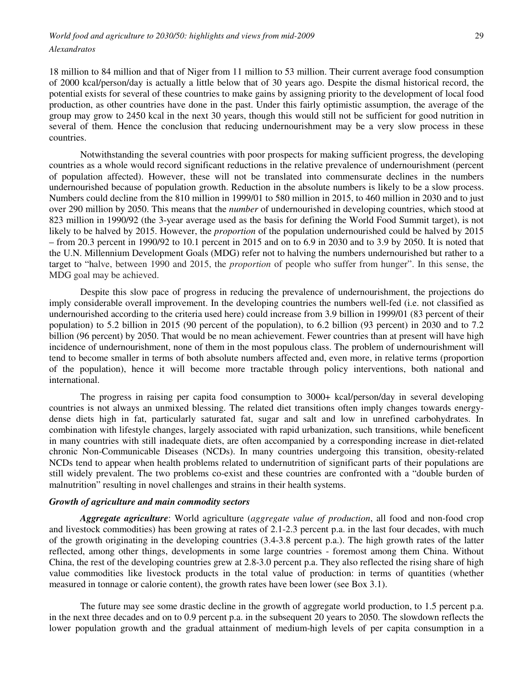18 million to 84 million and that of Niger from 11 million to 53 million. Their current average food consumption of 2000 kcal/person/day is actually a little below that of 30 years ago. Despite the dismal historical record, the potential exists for several of these countries to make gains by assigning priority to the development of local food production, as other countries have done in the past. Under this fairly optimistic assumption, the average of the group may grow to 2450 kcal in the next 30 years, though this would still not be sufficient for good nutrition in several of them. Hence the conclusion that reducing undernourishment may be a very slow process in these countries.

Notwithstanding the several countries with poor prospects for making sufficient progress, the developing countries as a whole would record significant reductions in the relative prevalence of undernourishment (percent of population affected). However, these will not be translated into commensurate declines in the numbers undernourished because of population growth. Reduction in the absolute numbers is likely to be a slow process. Numbers could decline from the 810 million in 1999/01 to 580 million in 2015, to 460 million in 2030 and to just over 290 million by 2050. This means that the *number* of undernourished in developing countries, which stood at 823 million in 1990/92 (the 3-year average used as the basis for defining the World Food Summit target), is not likely to be halved by 2015. However, the *proportion* of the population undernourished could be halved by 2015 – from 20.3 percent in 1990/92 to 10.1 percent in 2015 and on to 6.9 in 2030 and to 3.9 by 2050. It is noted that the U.N. Millennium Development Goals (MDG) refer not to halving the numbers undernourished but rather to a target to "halve, between 1990 and 2015, the *proportion* of people who suffer from hunger". In this sense, the MDG goal may be achieved.

Despite this slow pace of progress in reducing the prevalence of undernourishment, the projections do imply considerable overall improvement. In the developing countries the numbers well-fed (i.e. not classified as undernourished according to the criteria used here) could increase from 3.9 billion in 1999/01 (83 percent of their population) to 5.2 billion in 2015 (90 percent of the population), to 6.2 billion (93 percent) in 2030 and to 7.2 billion (96 percent) by 2050. That would be no mean achievement. Fewer countries than at present will have high incidence of undernourishment, none of them in the most populous class. The problem of undernourishment will tend to become smaller in terms of both absolute numbers affected and, even more, in relative terms (proportion of the population), hence it will become more tractable through policy interventions, both national and international.

The progress in raising per capita food consumption to 3000+ kcal/person/day in several developing countries is not always an unmixed blessing. The related diet transitions often imply changes towards energydense diets high in fat, particularly saturated fat, sugar and salt and low in unrefined carbohydrates. In combination with lifestyle changes, largely associated with rapid urbanization, such transitions, while beneficent in many countries with still inadequate diets, are often accompanied by a corresponding increase in diet-related chronic Non-Communicable Diseases (NCDs). In many countries undergoing this transition, obesity-related NCDs tend to appear when health problems related to undernutrition of significant parts of their populations are still widely prevalent. The two problems co-exist and these countries are confronted with a "double burden of malnutrition" resulting in novel challenges and strains in their health systems.

### *Growth of agriculture and main commodity sectors*

*Aggregate agriculture*: World agriculture (*aggregate value of production*, all food and non-food crop and livestock commodities) has been growing at rates of 2.1-2.3 percent p.a. in the last four decades, with much of the growth originating in the developing countries (3.4-3.8 percent p.a.). The high growth rates of the latter reflected, among other things, developments in some large countries - foremost among them China. Without China, the rest of the developing countries grew at 2.8-3.0 percent p.a. They also reflected the rising share of high value commodities like livestock products in the total value of production: in terms of quantities (whether measured in tonnage or calorie content), the growth rates have been lower (see Box 3.1).

The future may see some drastic decline in the growth of aggregate world production, to 1.5 percent p.a. in the next three decades and on to 0.9 percent p.a. in the subsequent 20 years to 2050. The slowdown reflects the lower population growth and the gradual attainment of medium-high levels of per capita consumption in a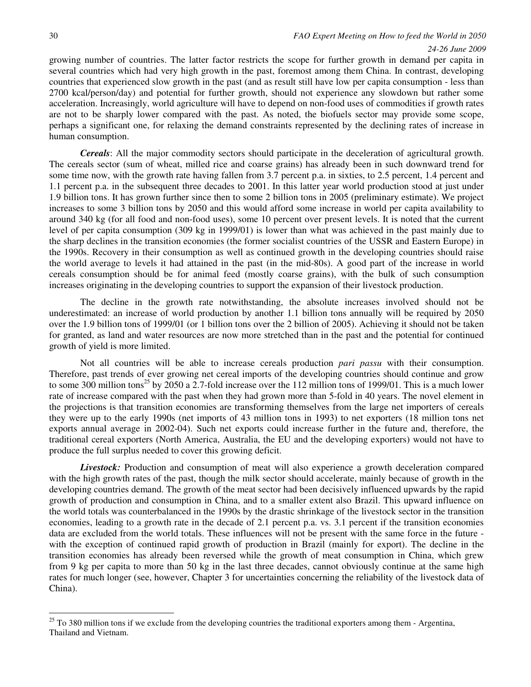#### *24-26 June 2009*

growing number of countries. The latter factor restricts the scope for further growth in demand per capita in several countries which had very high growth in the past, foremost among them China. In contrast, developing countries that experienced slow growth in the past (and as result still have low per capita consumption - less than 2700 kcal/person/day) and potential for further growth, should not experience any slowdown but rather some acceleration. Increasingly, world agriculture will have to depend on non-food uses of commodities if growth rates are not to be sharply lower compared with the past. As noted, the biofuels sector may provide some scope, perhaps a significant one, for relaxing the demand constraints represented by the declining rates of increase in human consumption.

*Cereals*: All the major commodity sectors should participate in the deceleration of agricultural growth. The cereals sector (sum of wheat, milled rice and coarse grains) has already been in such downward trend for some time now, with the growth rate having fallen from 3.7 percent p.a. in sixties, to 2.5 percent, 1.4 percent and 1.1 percent p.a. in the subsequent three decades to 2001. In this latter year world production stood at just under 1.9 billion tons. It has grown further since then to some 2 billion tons in 2005 (preliminary estimate). We project increases to some 3 billion tons by 2050 and this would afford some increase in world per capita availability to around 340 kg (for all food and non-food uses), some 10 percent over present levels. It is noted that the current level of per capita consumption (309 kg in 1999/01) is lower than what was achieved in the past mainly due to the sharp declines in the transition economies (the former socialist countries of the USSR and Eastern Europe) in the 1990s. Recovery in their consumption as well as continued growth in the developing countries should raise the world average to levels it had attained in the past (in the mid-80s). A good part of the increase in world cereals consumption should be for animal feed (mostly coarse grains), with the bulk of such consumption increases originating in the developing countries to support the expansion of their livestock production.

The decline in the growth rate notwithstanding, the absolute increases involved should not be underestimated: an increase of world production by another 1.1 billion tons annually will be required by 2050 over the 1.9 billion tons of 1999/01 (or 1 billion tons over the 2 billion of 2005). Achieving it should not be taken for granted, as land and water resources are now more stretched than in the past and the potential for continued growth of yield is more limited.

Not all countries will be able to increase cereals production *pari passu* with their consumption. Therefore, past trends of ever growing net cereal imports of the developing countries should continue and grow to some 300 million tons<sup>25</sup> by 2050 a 2.7-fold increase over the 112 million tons of 1999/01. This is a much lower rate of increase compared with the past when they had grown more than 5-fold in 40 years. The novel element in the projections is that transition economies are transforming themselves from the large net importers of cereals they were up to the early 1990s (net imports of 43 million tons in 1993) to net exporters (18 million tons net exports annual average in 2002-04). Such net exports could increase further in the future and, therefore, the traditional cereal exporters (North America, Australia, the EU and the developing exporters) would not have to produce the full surplus needed to cover this growing deficit.

*Livestock:* Production and consumption of meat will also experience a growth deceleration compared with the high growth rates of the past, though the milk sector should accelerate, mainly because of growth in the developing countries demand. The growth of the meat sector had been decisively influenced upwards by the rapid growth of production and consumption in China, and to a smaller extent also Brazil. This upward influence on the world totals was counterbalanced in the 1990s by the drastic shrinkage of the livestock sector in the transition economies, leading to a growth rate in the decade of 2.1 percent p.a. vs. 3.1 percent if the transition economies data are excluded from the world totals. These influences will not be present with the same force in the future with the exception of continued rapid growth of production in Brazil (mainly for export). The decline in the transition economies has already been reversed while the growth of meat consumption in China, which grew from 9 kg per capita to more than 50 kg in the last three decades, cannot obviously continue at the same high rates for much longer (see, however, Chapter 3 for uncertainties concerning the reliability of the livestock data of China).

 $^{25}$  To 380 million tons if we exclude from the developing countries the traditional exporters among them - Argentina, Thailand and Vietnam.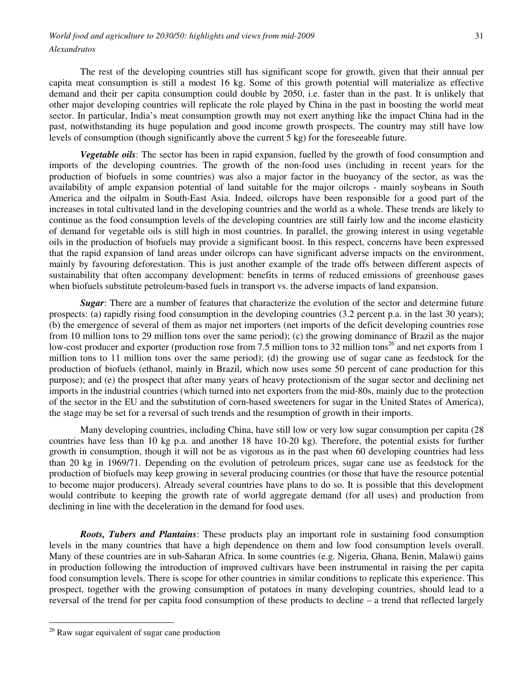The rest of the developing countries still has significant scope for growth, given that their annual per capita meat consumption is still a modest 16 kg. Some of this growth potential will materialize as effective demand and their per capita consumption could double by 2050, i.e. faster than in the past. It is unlikely that other major developing countries will replicate the role played by China in the past in boosting the world meat sector. In particular, India's meat consumption growth may not exert anything like the impact China had in the past, notwithstanding its huge population and good income growth prospects. The country may still have low levels of consumption (though significantly above the current 5 kg) for the foreseeable future.

*Vegetable oils*: The sector has been in rapid expansion, fuelled by the growth of food consumption and imports of the developing countries. The growth of the non-food uses (including in recent years for the production of biofuels in some countries) was also a major factor in the buoyancy of the sector, as was the availability of ample expansion potential of land suitable for the major oilcrops - mainly soybeans in South America and the oilpalm in South-East Asia. Indeed, oilcrops have been responsible for a good part of the increases in total cultivated land in the developing countries and the world as a whole. These trends are likely to continue as the food consumption levels of the developing countries are still fairly low and the income elasticity of demand for vegetable oils is still high in most countries. In parallel, the growing interest in using vegetable oils in the production of biofuels may provide a significant boost. In this respect, concerns have been expressed that the rapid expansion of land areas under oilcrops can have significant adverse impacts on the environment, mainly by favouring deforestation. This is just another example of the trade offs between different aspects of sustainability that often accompany development: benefits in terms of reduced emissions of greenhouse gases when biofuels substitute petroleum-based fuels in transport vs. the adverse impacts of land expansion.

*Sugar*: There are a number of features that characterize the evolution of the sector and determine future prospects: (a) rapidly rising food consumption in the developing countries (3.2 percent p.a. in the last 30 years); (b) the emergence of several of them as major net importers (net imports of the deficit developing countries rose from 10 million tons to 29 million tons over the same period); (c) the growing dominance of Brazil as the major low-cost producer and exporter (production rose from 7.5 million tons to 32 million tons<sup>26</sup> and net exports from 1 million tons to 11 million tons over the same period); (d) the growing use of sugar cane as feedstock for the production of biofuels (ethanol, mainly in Brazil, which now uses some 50 percent of cane production for this purpose); and (e) the prospect that after many years of heavy protectionism of the sugar sector and declining net imports in the industrial countries (which turned into net exporters from the mid-80s, mainly due to the protection of the sector in the EU and the substitution of corn-based sweeteners for sugar in the United States of America), the stage may be set for a reversal of such trends and the resumption of growth in their imports.

Many developing countries, including China, have still low or very low sugar consumption per capita (28 countries have less than 10 kg p.a. and another 18 have 10-20 kg). Therefore, the potential exists for further growth in consumption, though it will not be as vigorous as in the past when 60 developing countries had less than 20 kg in 1969/71. Depending on the evolution of petroleum prices, sugar cane use as feedstock for the production of biofuels may keep growing in several producing countries (or those that have the resource potential to become major producers). Already several countries have plans to do so. It is possible that this development would contribute to keeping the growth rate of world aggregate demand (for all uses) and production from declining in line with the deceleration in the demand for food uses.

*Roots, Tubers and Plantains*: These products play an important role in sustaining food consumption levels in the many countries that have a high dependence on them and low food consumption levels overall. Many of these countries are in sub-Saharan Africa. In some countries (e.g. Nigeria, Ghana, Benin, Malawi) gains in production following the introduction of improved cultivars have been instrumental in raising the per capita food consumption levels. There is scope for other countries in similar conditions to replicate this experience. This prospect, together with the growing consumption of potatoes in many developing countries, should lead to a reversal of the trend for per capita food consumption of these products to decline – a trend that reflected largely

 $26$  Raw sugar equivalent of sugar cane production